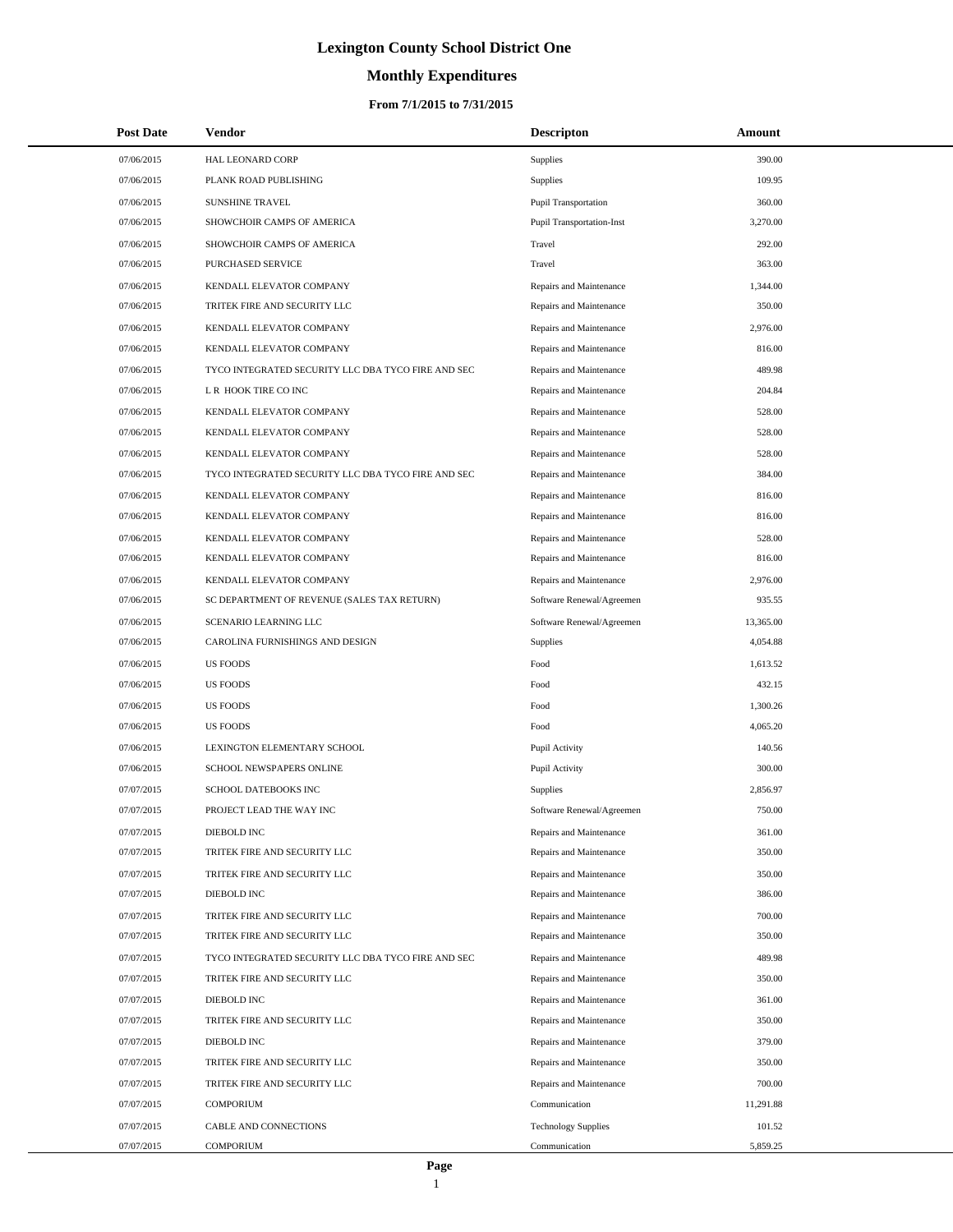# **Monthly Expenditures**

## **From 7/1/2015 to 7/31/2015**

| <b>Post Date</b> | Vendor                                             | <b>Descripton</b>           | Amount    |  |
|------------------|----------------------------------------------------|-----------------------------|-----------|--|
| 07/06/2015       | <b>HAL LEONARD CORP</b>                            | Supplies                    | 390.00    |  |
| 07/06/2015       | PLANK ROAD PUBLISHING                              | Supplies                    | 109.95    |  |
| 07/06/2015       | <b>SUNSHINE TRAVEL</b>                             | <b>Pupil Transportation</b> | 360.00    |  |
| 07/06/2015       | SHOWCHOIR CAMPS OF AMERICA                         | Pupil Transportation-Inst   | 3,270.00  |  |
| 07/06/2015       | SHOWCHOIR CAMPS OF AMERICA                         | Travel                      | 292.00    |  |
| 07/06/2015       | PURCHASED SERVICE                                  | Travel                      | 363.00    |  |
| 07/06/2015       | KENDALL ELEVATOR COMPANY                           | Repairs and Maintenance     | 1,344.00  |  |
| 07/06/2015       | TRITEK FIRE AND SECURITY LLC                       | Repairs and Maintenance     | 350.00    |  |
| 07/06/2015       | KENDALL ELEVATOR COMPANY                           | Repairs and Maintenance     | 2,976.00  |  |
| 07/06/2015       | KENDALL ELEVATOR COMPANY                           | Repairs and Maintenance     | 816.00    |  |
| 07/06/2015       | TYCO INTEGRATED SECURITY LLC DBA TYCO FIRE AND SEC | Repairs and Maintenance     | 489.98    |  |
| 07/06/2015       | L R HOOK TIRE CO INC                               | Repairs and Maintenance     | 204.84    |  |
| 07/06/2015       | KENDALL ELEVATOR COMPANY                           | Repairs and Maintenance     | 528.00    |  |
| 07/06/2015       | KENDALL ELEVATOR COMPANY                           | Repairs and Maintenance     | 528.00    |  |
| 07/06/2015       | KENDALL ELEVATOR COMPANY                           | Repairs and Maintenance     | 528.00    |  |
| 07/06/2015       | TYCO INTEGRATED SECURITY LLC DBA TYCO FIRE AND SEC | Repairs and Maintenance     | 384.00    |  |
| 07/06/2015       | KENDALL ELEVATOR COMPANY                           | Repairs and Maintenance     | 816.00    |  |
| 07/06/2015       | KENDALL ELEVATOR COMPANY                           | Repairs and Maintenance     | 816.00    |  |
| 07/06/2015       | KENDALL ELEVATOR COMPANY                           | Repairs and Maintenance     | 528.00    |  |
| 07/06/2015       | KENDALL ELEVATOR COMPANY                           | Repairs and Maintenance     | 816.00    |  |
| 07/06/2015       | KENDALL ELEVATOR COMPANY                           | Repairs and Maintenance     | 2,976.00  |  |
| 07/06/2015       | SC DEPARTMENT OF REVENUE (SALES TAX RETURN)        | Software Renewal/Agreemen   | 935.55    |  |
| 07/06/2015       | SCENARIO LEARNING LLC                              | Software Renewal/Agreemen   | 13,365.00 |  |
| 07/06/2015       | CAROLINA FURNISHINGS AND DESIGN                    | Supplies                    | 4,054.88  |  |
| 07/06/2015       | <b>US FOODS</b>                                    | Food                        | 1,613.52  |  |
| 07/06/2015       | <b>US FOODS</b>                                    | Food                        | 432.15    |  |
| 07/06/2015       | <b>US FOODS</b>                                    | Food                        | 1,300.26  |  |
| 07/06/2015       | <b>US FOODS</b>                                    | Food                        | 4,065.20  |  |
| 07/06/2015       | LEXINGTON ELEMENTARY SCHOOL                        | Pupil Activity              | 140.56    |  |
| 07/06/2015       | SCHOOL NEWSPAPERS ONLINE                           | Pupil Activity              | 300.00    |  |
| 07/07/2015       | SCHOOL DATEBOOKS INC                               | <b>Supplies</b>             | 2,856.97  |  |
| 07/07/2015       | PROJECT LEAD THE WAY INC                           | Software Renewal/Agreemen   | 750.00    |  |
| 07/07/2015       | DIEBOLD INC                                        | Repairs and Maintenance     | 361.00    |  |
| 07/07/2015       | TRITEK FIRE AND SECURITY LLC                       | Repairs and Maintenance     | 350.00    |  |
| 07/07/2015       | TRITEK FIRE AND SECURITY LLC                       | Repairs and Maintenance     | 350.00    |  |
| 07/07/2015       | DIEBOLD INC                                        | Repairs and Maintenance     | 386.00    |  |
| 07/07/2015       | TRITEK FIRE AND SECURITY LLC                       | Repairs and Maintenance     | 700.00    |  |
| 07/07/2015       | TRITEK FIRE AND SECURITY LLC                       | Repairs and Maintenance     | 350.00    |  |
| 07/07/2015       | TYCO INTEGRATED SECURITY LLC DBA TYCO FIRE AND SEC | Repairs and Maintenance     | 489.98    |  |
| 07/07/2015       | TRITEK FIRE AND SECURITY LLC                       | Repairs and Maintenance     | 350.00    |  |
| 07/07/2015       | DIEBOLD INC                                        | Repairs and Maintenance     | 361.00    |  |
| 07/07/2015       | TRITEK FIRE AND SECURITY LLC                       | Repairs and Maintenance     | 350.00    |  |
| 07/07/2015       | DIEBOLD INC                                        | Repairs and Maintenance     | 379.00    |  |
| 07/07/2015       | TRITEK FIRE AND SECURITY LLC                       | Repairs and Maintenance     | 350.00    |  |
| 07/07/2015       | TRITEK FIRE AND SECURITY LLC                       | Repairs and Maintenance     | 700.00    |  |
| 07/07/2015       | <b>COMPORIUM</b>                                   | Communication               | 11,291.88 |  |
| 07/07/2015       | CABLE AND CONNECTIONS                              | <b>Technology Supplies</b>  | 101.52    |  |
| 07/07/2015       | COMPORIUM                                          | Communication               | 5,859.25  |  |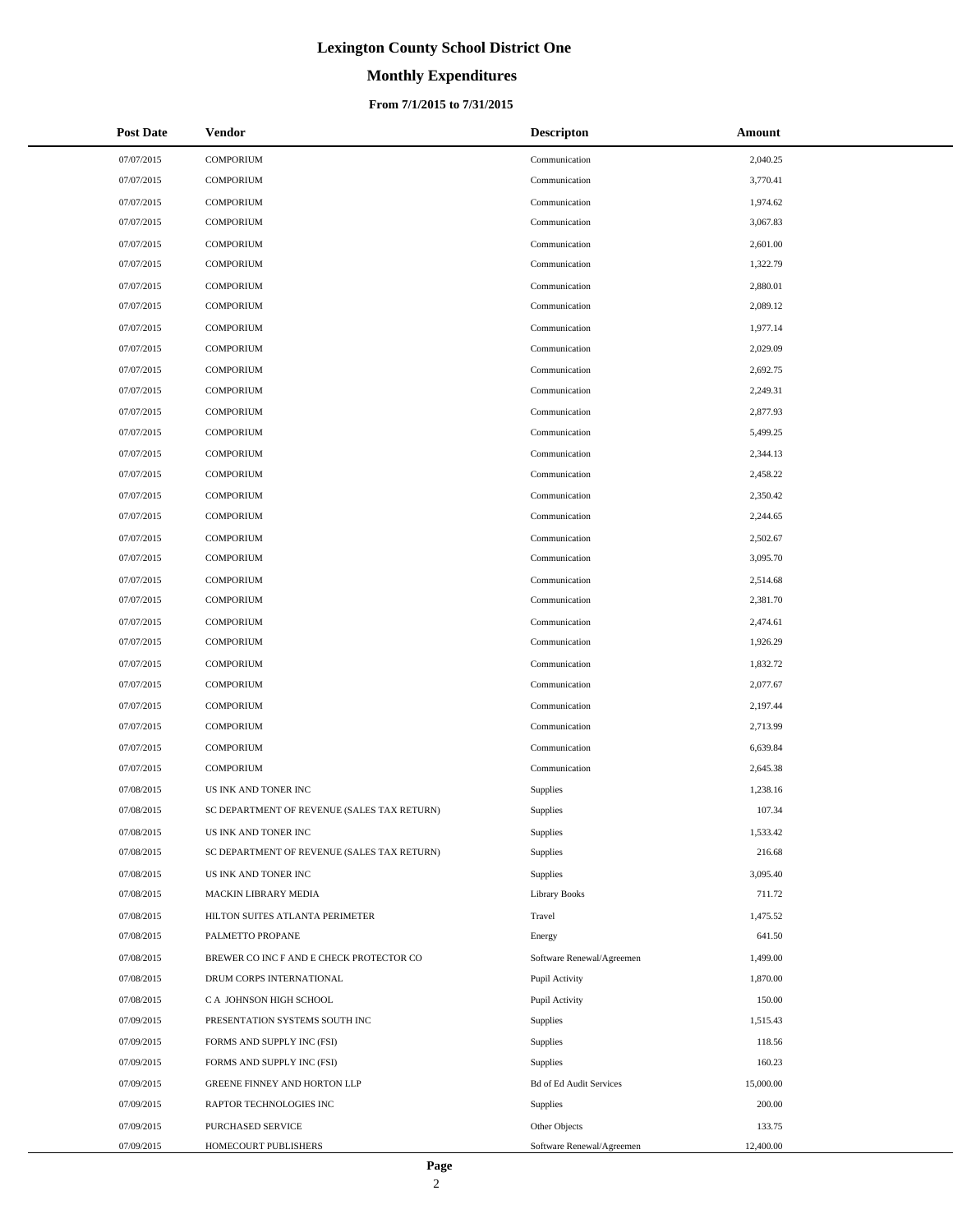# **Monthly Expenditures**

## **From 7/1/2015 to 7/31/2015**

| <b>Post Date</b> | Vendor                                      | <b>Descripton</b>              | Amount    |
|------------------|---------------------------------------------|--------------------------------|-----------|
| 07/07/2015       | <b>COMPORIUM</b>                            | Communication                  | 2,040.25  |
| 07/07/2015       | <b>COMPORIUM</b>                            | Communication                  | 3,770.41  |
| 07/07/2015       | <b>COMPORIUM</b>                            | Communication                  | 1,974.62  |
| 07/07/2015       | <b>COMPORIUM</b>                            | Communication                  | 3,067.83  |
| 07/07/2015       | <b>COMPORIUM</b>                            | Communication                  | 2,601.00  |
| 07/07/2015       | <b>COMPORIUM</b>                            | Communication                  | 1,322.79  |
| 07/07/2015       | <b>COMPORIUM</b>                            | Communication                  | 2,880.01  |
| 07/07/2015       | <b>COMPORIUM</b>                            | Communication                  | 2,089.12  |
| 07/07/2015       | <b>COMPORIUM</b>                            | Communication                  | 1,977.14  |
| 07/07/2015       | <b>COMPORIUM</b>                            | Communication                  | 2,029.09  |
| 07/07/2015       | <b>COMPORIUM</b>                            | Communication                  | 2,692.75  |
| 07/07/2015       | <b>COMPORIUM</b>                            | Communication                  | 2,249.31  |
| 07/07/2015       | <b>COMPORIUM</b>                            | Communication                  | 2,877.93  |
| 07/07/2015       | <b>COMPORIUM</b>                            | Communication                  | 5,499.25  |
| 07/07/2015       | <b>COMPORIUM</b>                            | Communication                  | 2,344.13  |
| 07/07/2015       | <b>COMPORIUM</b>                            | Communication                  | 2,458.22  |
| 07/07/2015       | <b>COMPORIUM</b>                            | Communication                  | 2,350.42  |
| 07/07/2015       | <b>COMPORIUM</b>                            | Communication                  | 2,244.65  |
| 07/07/2015       | <b>COMPORIUM</b>                            | Communication                  | 2,502.67  |
| 07/07/2015       | <b>COMPORIUM</b>                            | Communication                  | 3,095.70  |
| 07/07/2015       | <b>COMPORIUM</b>                            | Communication                  | 2,514.68  |
| 07/07/2015       | <b>COMPORIUM</b>                            | Communication                  | 2,381.70  |
| 07/07/2015       | <b>COMPORIUM</b>                            | Communication                  | 2,474.61  |
| 07/07/2015       | <b>COMPORIUM</b>                            | Communication                  | 1,926.29  |
| 07/07/2015       | <b>COMPORIUM</b>                            | Communication                  | 1,832.72  |
| 07/07/2015       | <b>COMPORIUM</b>                            | Communication                  | 2,077.67  |
| 07/07/2015       | <b>COMPORIUM</b>                            | Communication                  | 2,197.44  |
| 07/07/2015       | <b>COMPORIUM</b>                            | Communication                  | 2,713.99  |
| 07/07/2015       | <b>COMPORIUM</b>                            | Communication                  | 6,639.84  |
| 07/07/2015       | <b>COMPORIUM</b>                            | Communication                  | 2,645.38  |
| 07/08/2015       | US INK AND TONER INC                        | Supplies                       | 1,238.16  |
| 07/08/2015       | SC DEPARTMENT OF REVENUE (SALES TAX RETURN) | Supplies                       | 107.34    |
| 07/08/2015       | US INK AND TONER INC                        | Supplies                       | 1,533.42  |
| 07/08/2015       | SC DEPARTMENT OF REVENUE (SALES TAX RETURN) | Supplies                       | 216.68    |
| 07/08/2015       | US INK AND TONER INC                        | Supplies                       | 3,095.40  |
| 07/08/2015       | MACKIN LIBRARY MEDIA                        | <b>Library Books</b>           | 711.72    |
| 07/08/2015       | HILTON SUITES ATLANTA PERIMETER             | Travel                         | 1,475.52  |
| 07/08/2015       | PALMETTO PROPANE                            | Energy                         | 641.50    |
| 07/08/2015       | BREWER CO INC F AND E CHECK PROTECTOR CO    | Software Renewal/Agreemen      | 1,499.00  |
| 07/08/2015       | DRUM CORPS INTERNATIONAL                    | Pupil Activity                 | 1,870.00  |
| 07/08/2015       | C A JOHNSON HIGH SCHOOL                     | Pupil Activity                 | 150.00    |
| 07/09/2015       | PRESENTATION SYSTEMS SOUTH INC              | Supplies                       | 1,515.43  |
| 07/09/2015       | FORMS AND SUPPLY INC (FSI)                  | Supplies                       | 118.56    |
| 07/09/2015       | FORMS AND SUPPLY INC (FSI)                  | Supplies                       | 160.23    |
| 07/09/2015       | GREENE FINNEY AND HORTON LLP                | <b>Bd of Ed Audit Services</b> | 15,000.00 |
| 07/09/2015       | RAPTOR TECHNOLOGIES INC                     | Supplies                       | 200.00    |
| 07/09/2015       | PURCHASED SERVICE                           | Other Objects                  | 133.75    |
| 07/09/2015       | HOMECOURT PUBLISHERS                        | Software Renewal/Agreemen      | 12,400.00 |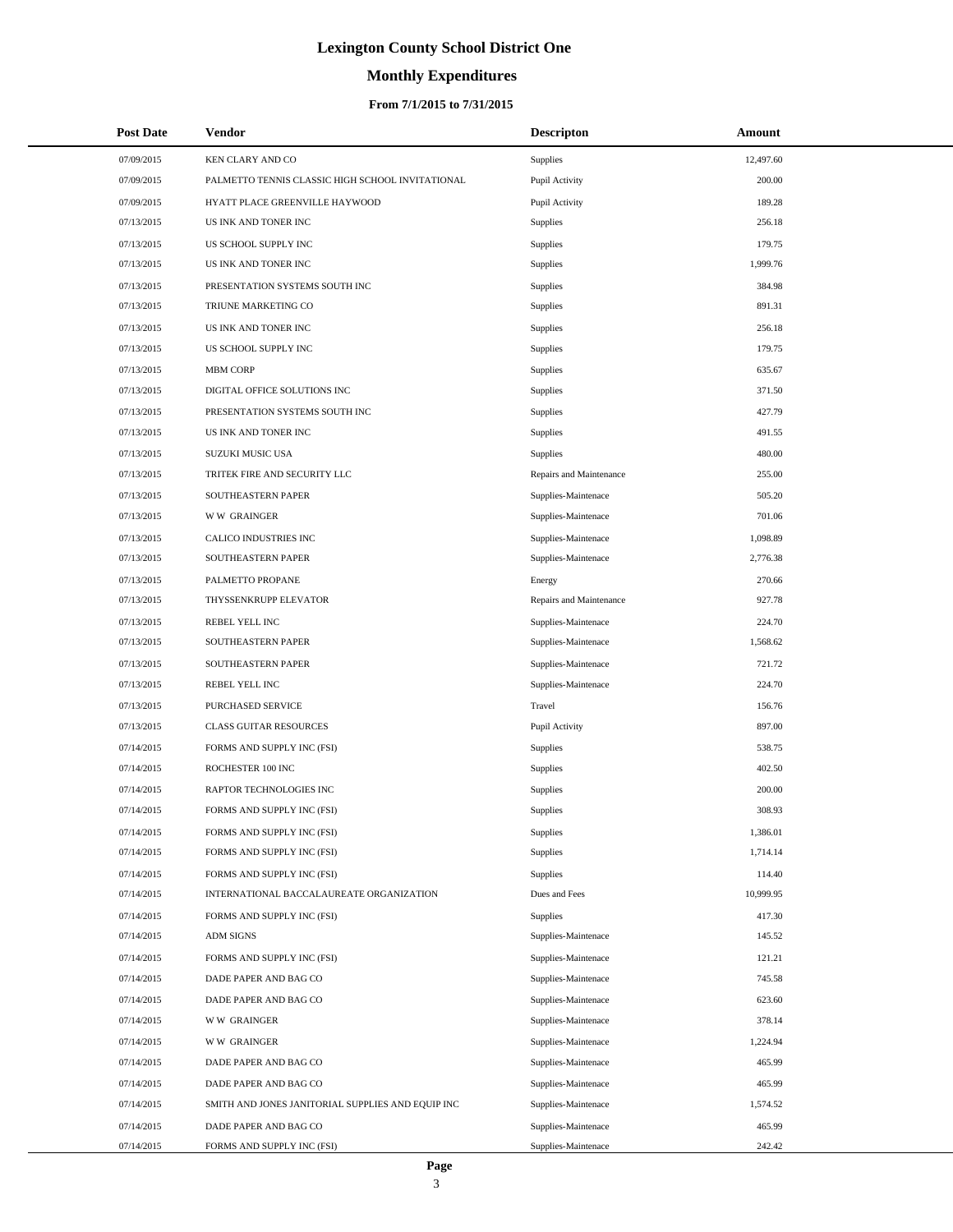# **Monthly Expenditures**

## **From 7/1/2015 to 7/31/2015**

| <b>Post Date</b> | Vendor                                            | <b>Descripton</b>       | Amount    |  |
|------------------|---------------------------------------------------|-------------------------|-----------|--|
| 07/09/2015       | <b>KEN CLARY AND CO</b>                           | Supplies                | 12,497.60 |  |
| 07/09/2015       | PALMETTO TENNIS CLASSIC HIGH SCHOOL INVITATIONAL  | Pupil Activity          | 200.00    |  |
| 07/09/2015       | HYATT PLACE GREENVILLE HAYWOOD                    | Pupil Activity          | 189.28    |  |
| 07/13/2015       | US INK AND TONER INC                              | Supplies                | 256.18    |  |
| 07/13/2015       | US SCHOOL SUPPLY INC                              | Supplies                | 179.75    |  |
| 07/13/2015       | US INK AND TONER INC                              | Supplies                | 1,999.76  |  |
| 07/13/2015       | PRESENTATION SYSTEMS SOUTH INC                    | Supplies                | 384.98    |  |
| 07/13/2015       | TRIUNE MARKETING CO                               | Supplies                | 891.31    |  |
| 07/13/2015       | US INK AND TONER INC                              | Supplies                | 256.18    |  |
| 07/13/2015       | US SCHOOL SUPPLY INC                              | Supplies                | 179.75    |  |
| 07/13/2015       | <b>MBM CORP</b>                                   | Supplies                | 635.67    |  |
| 07/13/2015       | DIGITAL OFFICE SOLUTIONS INC                      | Supplies                | 371.50    |  |
| 07/13/2015       | PRESENTATION SYSTEMS SOUTH INC                    | Supplies                | 427.79    |  |
| 07/13/2015       | US INK AND TONER INC                              | Supplies                | 491.55    |  |
| 07/13/2015       | SUZUKI MUSIC USA                                  | Supplies                | 480.00    |  |
| 07/13/2015       | TRITEK FIRE AND SECURITY LLC                      | Repairs and Maintenance | 255.00    |  |
| 07/13/2015       | SOUTHEASTERN PAPER                                | Supplies-Maintenace     | 505.20    |  |
| 07/13/2015       | <b>WW GRAINGER</b>                                | Supplies-Maintenace     | 701.06    |  |
| 07/13/2015       | CALICO INDUSTRIES INC                             | Supplies-Maintenace     | 1,098.89  |  |
| 07/13/2015       | SOUTHEASTERN PAPER                                | Supplies-Maintenace     | 2,776.38  |  |
| 07/13/2015       | PALMETTO PROPANE                                  | Energy                  | 270.66    |  |
| 07/13/2015       | THYSSENKRUPP ELEVATOR                             | Repairs and Maintenance | 927.78    |  |
| 07/13/2015       | REBEL YELL INC                                    | Supplies-Maintenace     | 224.70    |  |
| 07/13/2015       | SOUTHEASTERN PAPER                                | Supplies-Maintenace     | 1,568.62  |  |
| 07/13/2015       | SOUTHEASTERN PAPER                                | Supplies-Maintenace     | 721.72    |  |
| 07/13/2015       | REBEL YELL INC                                    | Supplies-Maintenace     | 224.70    |  |
| 07/13/2015       | PURCHASED SERVICE                                 | Travel                  | 156.76    |  |
| 07/13/2015       | <b>CLASS GUITAR RESOURCES</b>                     | Pupil Activity          | 897.00    |  |
| 07/14/2015       | FORMS AND SUPPLY INC (FSI)                        | Supplies                | 538.75    |  |
| 07/14/2015       | ROCHESTER 100 INC                                 | Supplies                | 402.50    |  |
| 07/14/2015       | RAPTOR TECHNOLOGIES INC                           | Supplies                | 200.00    |  |
| 07/14/2015       | FORMS AND SUPPLY INC (FSI)                        | Supplies                | 308.93    |  |
| 07/14/2015       | FORMS AND SUPPLY INC (FSI)                        | Supplies                | 1,386.01  |  |
| 07/14/2015       | FORMS AND SUPPLY INC (FSI)                        | Supplies                | 1,714.14  |  |
| 07/14/2015       | FORMS AND SUPPLY INC (FSI)                        | Supplies                | 114.40    |  |
| 07/14/2015       | INTERNATIONAL BACCALAUREATE ORGANIZATION          | Dues and Fees           | 10,999.95 |  |
| 07/14/2015       | FORMS AND SUPPLY INC (FSI)                        | Supplies                | 417.30    |  |
| 07/14/2015       | <b>ADM SIGNS</b>                                  | Supplies-Maintenace     | 145.52    |  |
| 07/14/2015       | FORMS AND SUPPLY INC (FSI)                        | Supplies-Maintenace     | 121.21    |  |
| 07/14/2015       | DADE PAPER AND BAG CO                             | Supplies-Maintenace     | 745.58    |  |
| 07/14/2015       | DADE PAPER AND BAG CO                             | Supplies-Maintenace     | 623.60    |  |
| 07/14/2015       | <b>WW GRAINGER</b>                                | Supplies-Maintenace     | 378.14    |  |
| 07/14/2015       | <b>WW GRAINGER</b>                                | Supplies-Maintenace     | 1,224.94  |  |
| 07/14/2015       | DADE PAPER AND BAG CO                             | Supplies-Maintenace     | 465.99    |  |
| 07/14/2015       | DADE PAPER AND BAG CO                             | Supplies-Maintenace     | 465.99    |  |
| 07/14/2015       | SMITH AND JONES JANITORIAL SUPPLIES AND EQUIP INC | Supplies-Maintenace     | 1,574.52  |  |
| 07/14/2015       | DADE PAPER AND BAG CO                             | Supplies-Maintenace     | 465.99    |  |
| 07/14/2015       | FORMS AND SUPPLY INC (FSI)                        | Supplies-Maintenace     | 242.42    |  |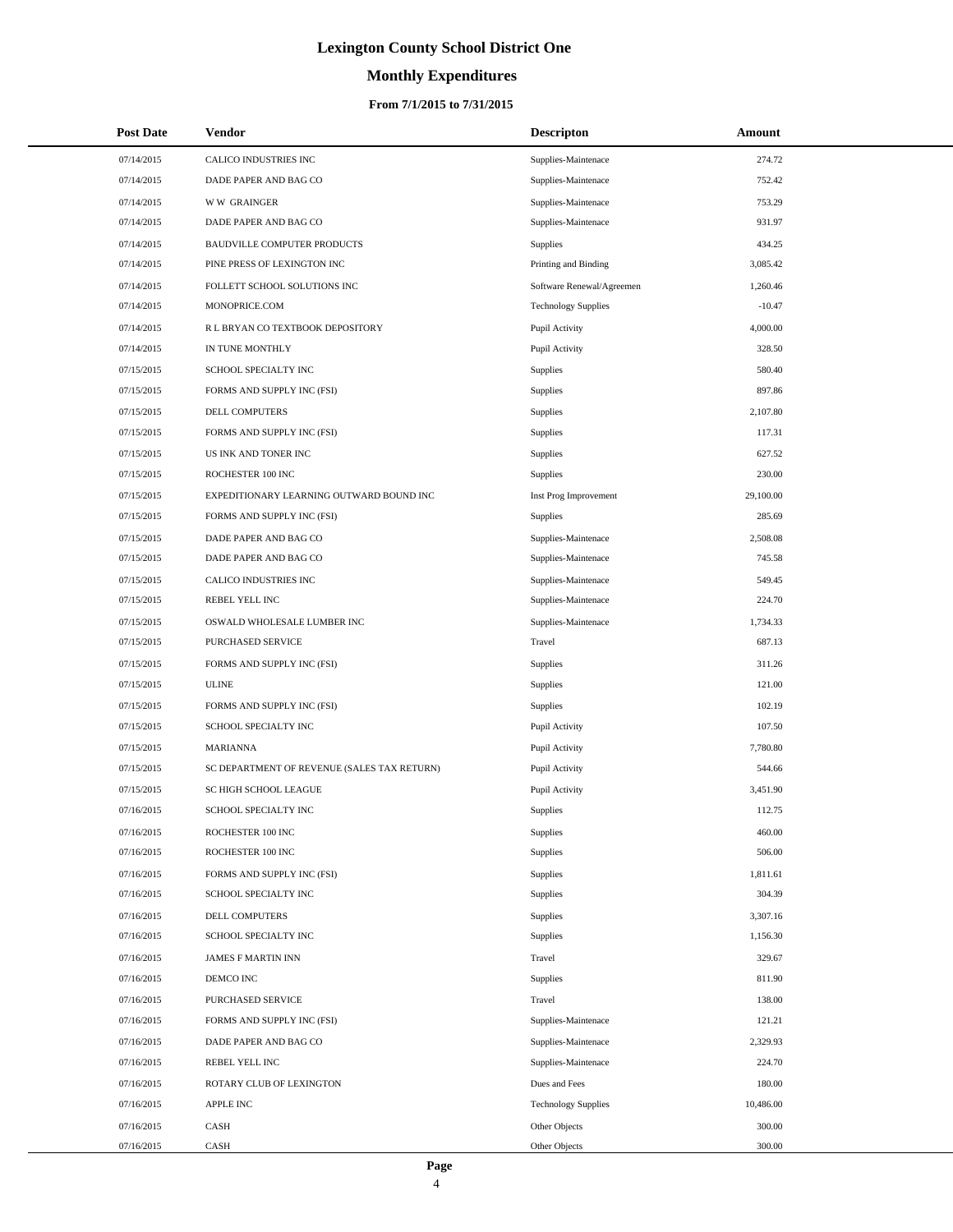# **Monthly Expenditures**

## **From 7/1/2015 to 7/31/2015**

| <b>Post Date</b> | Vendor                                      | <b>Descripton</b>          | Amount    |
|------------------|---------------------------------------------|----------------------------|-----------|
| 07/14/2015       | CALICO INDUSTRIES INC                       | Supplies-Maintenace        | 274.72    |
| 07/14/2015       | DADE PAPER AND BAG CO                       | Supplies-Maintenace        | 752.42    |
| 07/14/2015       | <b>WW GRAINGER</b>                          | Supplies-Maintenace        | 753.29    |
| 07/14/2015       | DADE PAPER AND BAG CO                       | Supplies-Maintenace        | 931.97    |
| 07/14/2015       | <b>BAUDVILLE COMPUTER PRODUCTS</b>          | Supplies                   | 434.25    |
| 07/14/2015       | PINE PRESS OF LEXINGTON INC                 | Printing and Binding       | 3,085.42  |
| 07/14/2015       | FOLLETT SCHOOL SOLUTIONS INC                | Software Renewal/Agreemen  | 1,260.46  |
| 07/14/2015       | MONOPRICE.COM                               | <b>Technology Supplies</b> | $-10.47$  |
| 07/14/2015       | R L BRYAN CO TEXTBOOK DEPOSITORY            | Pupil Activity             | 4,000.00  |
| 07/14/2015       | IN TUNE MONTHLY                             | Pupil Activity             | 328.50    |
| 07/15/2015       | SCHOOL SPECIALTY INC                        | <b>Supplies</b>            | 580.40    |
| 07/15/2015       | FORMS AND SUPPLY INC (FSI)                  | <b>Supplies</b>            | 897.86    |
| 07/15/2015       | <b>DELL COMPUTERS</b>                       | <b>Supplies</b>            | 2,107.80  |
| 07/15/2015       | FORMS AND SUPPLY INC (FSI)                  | <b>Supplies</b>            | 117.31    |
| 07/15/2015       | US INK AND TONER INC                        | <b>Supplies</b>            | 627.52    |
| 07/15/2015       | ROCHESTER 100 INC                           | <b>Supplies</b>            | 230.00    |
| 07/15/2015       | EXPEDITIONARY LEARNING OUTWARD BOUND INC    | Inst Prog Improvement      | 29,100.00 |
| 07/15/2015       | FORMS AND SUPPLY INC (FSI)                  | Supplies                   | 285.69    |
| 07/15/2015       | DADE PAPER AND BAG CO                       | Supplies-Maintenace        | 2,508.08  |
| 07/15/2015       | DADE PAPER AND BAG CO                       | Supplies-Maintenace        | 745.58    |
| 07/15/2015       | CALICO INDUSTRIES INC                       | Supplies-Maintenace        | 549.45    |
| 07/15/2015       | REBEL YELL INC                              | Supplies-Maintenace        | 224.70    |
| 07/15/2015       | OSWALD WHOLESALE LUMBER INC                 | Supplies-Maintenace        | 1,734.33  |
| 07/15/2015       | PURCHASED SERVICE                           | Travel                     | 687.13    |
| 07/15/2015       | FORMS AND SUPPLY INC (FSI)                  | <b>Supplies</b>            | 311.26    |
| 07/15/2015       | <b>ULINE</b>                                | Supplies                   | 121.00    |
| 07/15/2015       | FORMS AND SUPPLY INC (FSI)                  | <b>Supplies</b>            | 102.19    |
| 07/15/2015       | SCHOOL SPECIALTY INC                        | Pupil Activity             | 107.50    |
| 07/15/2015       | <b>MARIANNA</b>                             | Pupil Activity             | 7,780.80  |
| 07/15/2015       | SC DEPARTMENT OF REVENUE (SALES TAX RETURN) | Pupil Activity             | 544.66    |
| 07/15/2015       | SC HIGH SCHOOL LEAGUE                       | Pupil Activity             | 3,451.90  |
| 07/16/2015       | SCHOOL SPECIALTY INC                        | Supplies                   | 112.75    |
| 07/16/2015       | ROCHESTER 100 INC                           | <b>Supplies</b>            | 460.00    |
| 07/16/2015       | ROCHESTER 100 INC                           | Supplies                   | 506.00    |
| 07/16/2015       | FORMS AND SUPPLY INC (FSI)                  | <b>Supplies</b>            | 1,811.61  |
| 07/16/2015       | SCHOOL SPECIALTY INC                        | <b>Supplies</b>            | 304.39    |
| 07/16/2015       | <b>DELL COMPUTERS</b>                       | Supplies                   | 3,307.16  |
| 07/16/2015       | SCHOOL SPECIALTY INC                        | Supplies                   | 1,156.30  |
| 07/16/2015       | <b>JAMES F MARTIN INN</b>                   | Travel                     | 329.67    |
| 07/16/2015       | DEMCO INC                                   | Supplies                   | 811.90    |
| 07/16/2015       | PURCHASED SERVICE                           | Travel                     | 138.00    |
| 07/16/2015       | FORMS AND SUPPLY INC (FSI)                  | Supplies-Maintenace        | 121.21    |
| 07/16/2015       | DADE PAPER AND BAG CO                       | Supplies-Maintenace        | 2,329.93  |
| 07/16/2015       | REBEL YELL INC                              | Supplies-Maintenace        | 224.70    |
| 07/16/2015       | ROTARY CLUB OF LEXINGTON                    | Dues and Fees              | 180.00    |
| 07/16/2015       | <b>APPLE INC</b>                            | <b>Technology Supplies</b> | 10,486.00 |
| 07/16/2015       | CASH                                        | Other Objects              | 300.00    |
| 07/16/2015       | CASH                                        | Other Objects              | 300.00    |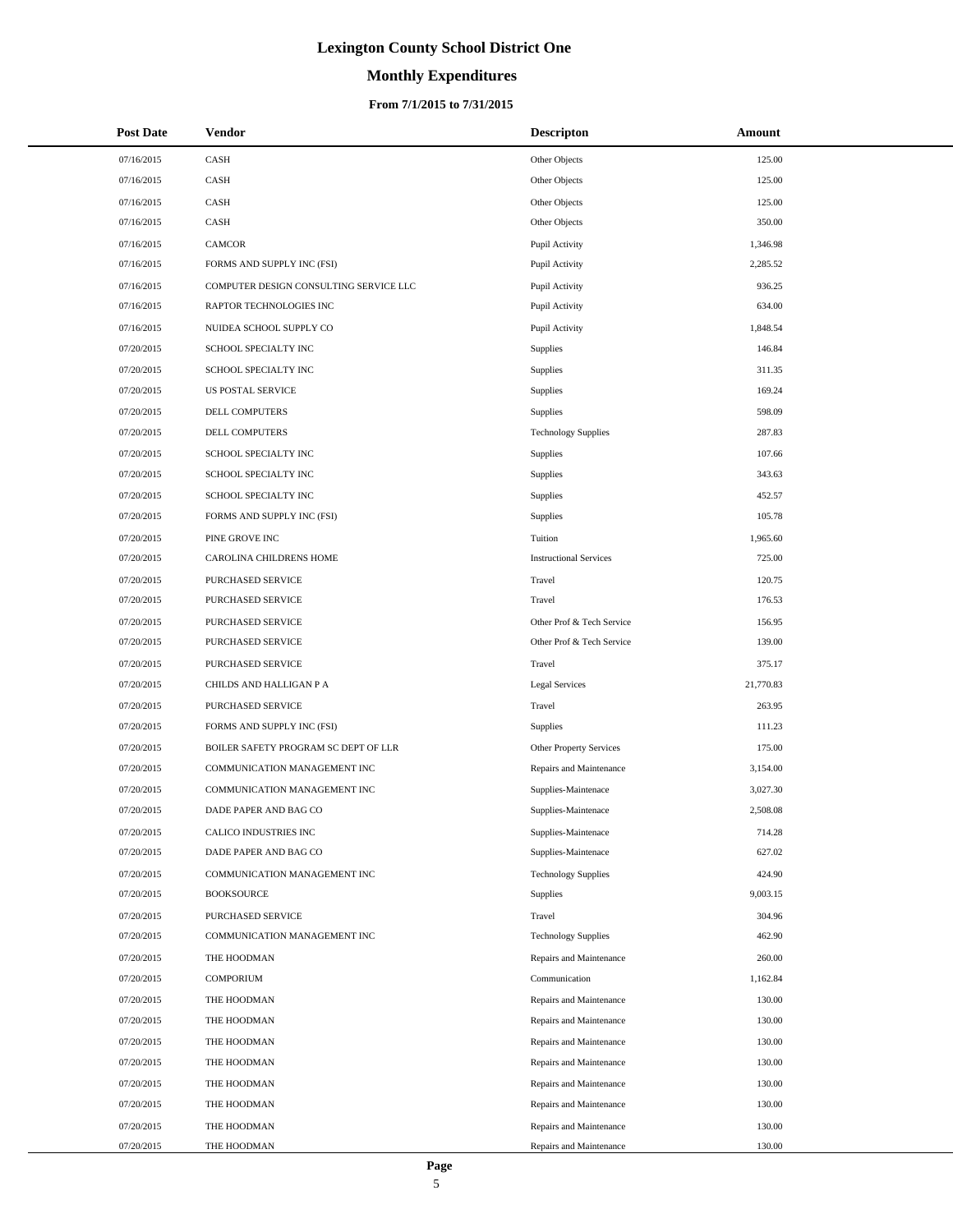# **Monthly Expenditures**

## **From 7/1/2015 to 7/31/2015**

| <b>Post Date</b> | <b>Vendor</b>                          | <b>Descripton</b>             | Amount    |
|------------------|----------------------------------------|-------------------------------|-----------|
| 07/16/2015       | CASH                                   | Other Objects                 | 125.00    |
| 07/16/2015       | CASH                                   | Other Objects                 | 125.00    |
| 07/16/2015       | CASH                                   | Other Objects                 | 125.00    |
| 07/16/2015       | CASH                                   | Other Objects                 | 350.00    |
| 07/16/2015       | CAMCOR                                 | Pupil Activity                | 1,346.98  |
| 07/16/2015       | FORMS AND SUPPLY INC (FSI)             | Pupil Activity                | 2,285.52  |
| 07/16/2015       | COMPUTER DESIGN CONSULTING SERVICE LLC | Pupil Activity                | 936.25    |
| 07/16/2015       | RAPTOR TECHNOLOGIES INC                | Pupil Activity                | 634.00    |
| 07/16/2015       | NUIDEA SCHOOL SUPPLY CO                | Pupil Activity                | 1,848.54  |
| 07/20/2015       | SCHOOL SPECIALTY INC                   | Supplies                      | 146.84    |
| 07/20/2015       | SCHOOL SPECIALTY INC                   | Supplies                      | 311.35    |
| 07/20/2015       | <b>US POSTAL SERVICE</b>               | Supplies                      | 169.24    |
| 07/20/2015       | DELL COMPUTERS                         | Supplies                      | 598.09    |
| 07/20/2015       | DELL COMPUTERS                         | <b>Technology Supplies</b>    | 287.83    |
| 07/20/2015       | SCHOOL SPECIALTY INC                   | Supplies                      | 107.66    |
| 07/20/2015       | SCHOOL SPECIALTY INC                   | Supplies                      | 343.63    |
| 07/20/2015       | SCHOOL SPECIALTY INC                   | Supplies                      | 452.57    |
| 07/20/2015       | FORMS AND SUPPLY INC (FSI)             | Supplies                      | 105.78    |
| 07/20/2015       | PINE GROVE INC                         | Tuition                       | 1,965.60  |
| 07/20/2015       | CAROLINA CHILDRENS HOME                | <b>Instructional Services</b> | 725.00    |
| 07/20/2015       | PURCHASED SERVICE                      | Travel                        | 120.75    |
| 07/20/2015       | PURCHASED SERVICE                      | Travel                        | 176.53    |
| 07/20/2015       | PURCHASED SERVICE                      | Other Prof & Tech Service     | 156.95    |
| 07/20/2015       | PURCHASED SERVICE                      | Other Prof & Tech Service     | 139.00    |
| 07/20/2015       | PURCHASED SERVICE                      | Travel                        | 375.17    |
| 07/20/2015       | CHILDS AND HALLIGAN P A                | <b>Legal Services</b>         | 21,770.83 |
| 07/20/2015       | PURCHASED SERVICE                      | Travel                        | 263.95    |
| 07/20/2015       | FORMS AND SUPPLY INC (FSI)             | Supplies                      | 111.23    |
| 07/20/2015       | BOILER SAFETY PROGRAM SC DEPT OF LLR   | Other Property Services       | 175.00    |
| 07/20/2015       | COMMUNICATION MANAGEMENT INC           | Repairs and Maintenance       | 3,154.00  |
| 07/20/2015       | COMMUNICATION MANAGEMENT INC           | Supplies-Maintenace           | 3,027.30  |
| 07/20/2015       | DADE PAPER AND BAG CO                  | Supplies-Maintenace           | 2,508.08  |
| 07/20/2015       | CALICO INDUSTRIES INC                  | Supplies-Maintenace           | 714.28    |
| 07/20/2015       | DADE PAPER AND BAG CO                  | Supplies-Maintenace           | 627.02    |
| 07/20/2015       | COMMUNICATION MANAGEMENT INC           | <b>Technology Supplies</b>    | 424.90    |
| 07/20/2015       | <b>BOOKSOURCE</b>                      | Supplies                      | 9,003.15  |
| 07/20/2015       | PURCHASED SERVICE                      | Travel                        | 304.96    |
| 07/20/2015       | COMMUNICATION MANAGEMENT INC           | <b>Technology Supplies</b>    | 462.90    |
| 07/20/2015       | THE HOODMAN                            | Repairs and Maintenance       | 260.00    |
| 07/20/2015       | <b>COMPORIUM</b>                       | Communication                 | 1,162.84  |
| 07/20/2015       | THE HOODMAN                            | Repairs and Maintenance       | 130.00    |
| 07/20/2015       | THE HOODMAN                            | Repairs and Maintenance       | 130.00    |
| 07/20/2015       | THE HOODMAN                            | Repairs and Maintenance       | 130.00    |
| 07/20/2015       | THE HOODMAN                            | Repairs and Maintenance       | 130.00    |
| 07/20/2015       | THE HOODMAN                            | Repairs and Maintenance       | 130.00    |
| 07/20/2015       | THE HOODMAN                            | Repairs and Maintenance       | 130.00    |
| 07/20/2015       | THE HOODMAN                            | Repairs and Maintenance       | 130.00    |
| 07/20/2015       | THE HOODMAN                            | Repairs and Maintenance       | 130.00    |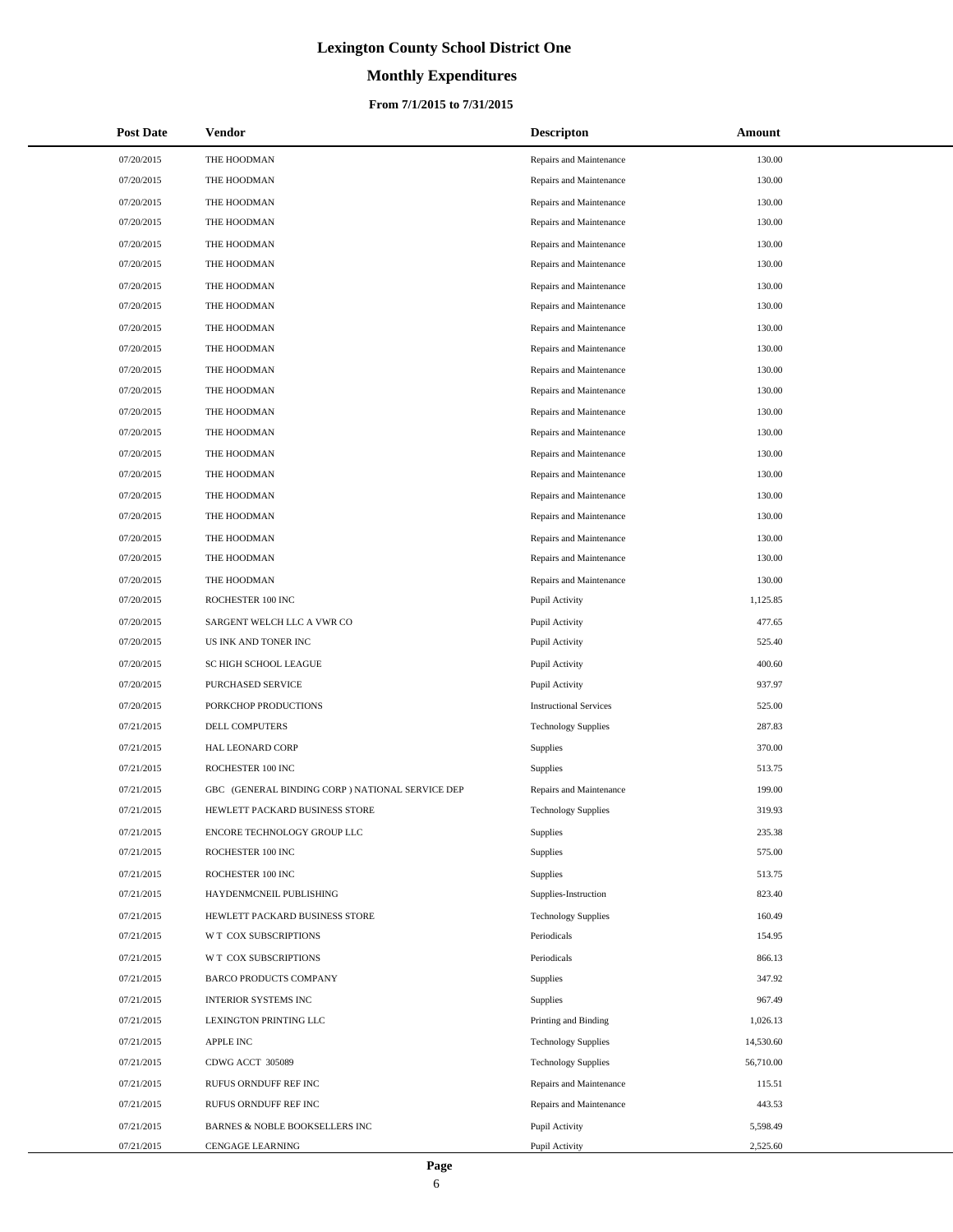# **Monthly Expenditures**

## **From 7/1/2015 to 7/31/2015**

| <b>Post Date</b> | Vendor                                           | <b>Descripton</b>             | Amount    |
|------------------|--------------------------------------------------|-------------------------------|-----------|
| 07/20/2015       | THE HOODMAN                                      | Repairs and Maintenance       | 130.00    |
| 07/20/2015       | THE HOODMAN                                      | Repairs and Maintenance       | 130.00    |
| 07/20/2015       | THE HOODMAN                                      | Repairs and Maintenance       | 130.00    |
| 07/20/2015       | THE HOODMAN                                      | Repairs and Maintenance       | 130.00    |
| 07/20/2015       | THE HOODMAN                                      | Repairs and Maintenance       | 130.00    |
| 07/20/2015       | THE HOODMAN                                      | Repairs and Maintenance       | 130.00    |
| 07/20/2015       | THE HOODMAN                                      | Repairs and Maintenance       | 130.00    |
| 07/20/2015       | THE HOODMAN                                      | Repairs and Maintenance       | 130.00    |
| 07/20/2015       | THE HOODMAN                                      | Repairs and Maintenance       | 130.00    |
| 07/20/2015       | THE HOODMAN                                      | Repairs and Maintenance       | 130.00    |
| 07/20/2015       | THE HOODMAN                                      | Repairs and Maintenance       | 130.00    |
| 07/20/2015       | THE HOODMAN                                      | Repairs and Maintenance       | 130.00    |
| 07/20/2015       | THE HOODMAN                                      | Repairs and Maintenance       | 130.00    |
| 07/20/2015       | THE HOODMAN                                      | Repairs and Maintenance       | 130.00    |
| 07/20/2015       | THE HOODMAN                                      | Repairs and Maintenance       | 130.00    |
| 07/20/2015       | THE HOODMAN                                      | Repairs and Maintenance       | 130.00    |
| 07/20/2015       | THE HOODMAN                                      | Repairs and Maintenance       | 130.00    |
| 07/20/2015       | THE HOODMAN                                      | Repairs and Maintenance       | 130.00    |
| 07/20/2015       | THE HOODMAN                                      | Repairs and Maintenance       | 130.00    |
| 07/20/2015       | THE HOODMAN                                      | Repairs and Maintenance       | 130.00    |
| 07/20/2015       | THE HOODMAN                                      | Repairs and Maintenance       | 130.00    |
| 07/20/2015       | ROCHESTER 100 INC                                | Pupil Activity                | 1,125.85  |
| 07/20/2015       | SARGENT WELCH LLC A VWR CO                       | Pupil Activity                | 477.65    |
| 07/20/2015       | US INK AND TONER INC                             | Pupil Activity                | 525.40    |
| 07/20/2015       | SC HIGH SCHOOL LEAGUE                            | Pupil Activity                | 400.60    |
| 07/20/2015       | PURCHASED SERVICE                                | Pupil Activity                | 937.97    |
| 07/20/2015       | PORKCHOP PRODUCTIONS                             | <b>Instructional Services</b> | 525.00    |
| 07/21/2015       | DELL COMPUTERS                                   | <b>Technology Supplies</b>    | 287.83    |
| 07/21/2015       | HAL LEONARD CORP                                 | Supplies                      | 370.00    |
| 07/21/2015       | ROCHESTER 100 INC                                | Supplies                      | 513.75    |
| 07/21/2015       | GBC (GENERAL BINDING CORP ) NATIONAL SERVICE DEP | Repairs and Maintenance       | 199.00    |
| 07/21/2015       | HEWLETT PACKARD BUSINESS STORE                   | <b>Technology Supplies</b>    | 319.93    |
| 07/21/2015       | ENCORE TECHNOLOGY GROUP LLC                      | Supplies                      | 235.38    |
| 07/21/2015       | ROCHESTER 100 INC                                | Supplies                      | 575.00    |
| 07/21/2015       | ROCHESTER 100 INC                                | Supplies                      | 513.75    |
| 07/21/2015       | HAYDENMCNEIL PUBLISHING                          | Supplies-Instruction          | 823.40    |
| 07/21/2015       | HEWLETT PACKARD BUSINESS STORE                   | <b>Technology Supplies</b>    | 160.49    |
| 07/21/2015       | W T COX SUBSCRIPTIONS                            | Periodicals                   | 154.95    |
| 07/21/2015       | W T COX SUBSCRIPTIONS                            | Periodicals                   | 866.13    |
| 07/21/2015       | <b>BARCO PRODUCTS COMPANY</b>                    | Supplies                      | 347.92    |
| 07/21/2015       | <b>INTERIOR SYSTEMS INC</b>                      | Supplies                      | 967.49    |
| 07/21/2015       | LEXINGTON PRINTING LLC                           | Printing and Binding          | 1,026.13  |
| 07/21/2015       | APPLE INC                                        | <b>Technology Supplies</b>    | 14,530.60 |
| 07/21/2015       | CDWG ACCT 305089                                 | <b>Technology Supplies</b>    | 56,710.00 |
| 07/21/2015       | RUFUS ORNDUFF REF INC                            | Repairs and Maintenance       | 115.51    |
| 07/21/2015       | RUFUS ORNDUFF REF INC                            | Repairs and Maintenance       | 443.53    |
| 07/21/2015       | BARNES & NOBLE BOOKSELLERS INC                   | Pupil Activity                | 5,598.49  |
| 07/21/2015       | CENGAGE LEARNING                                 | Pupil Activity                | 2,525.60  |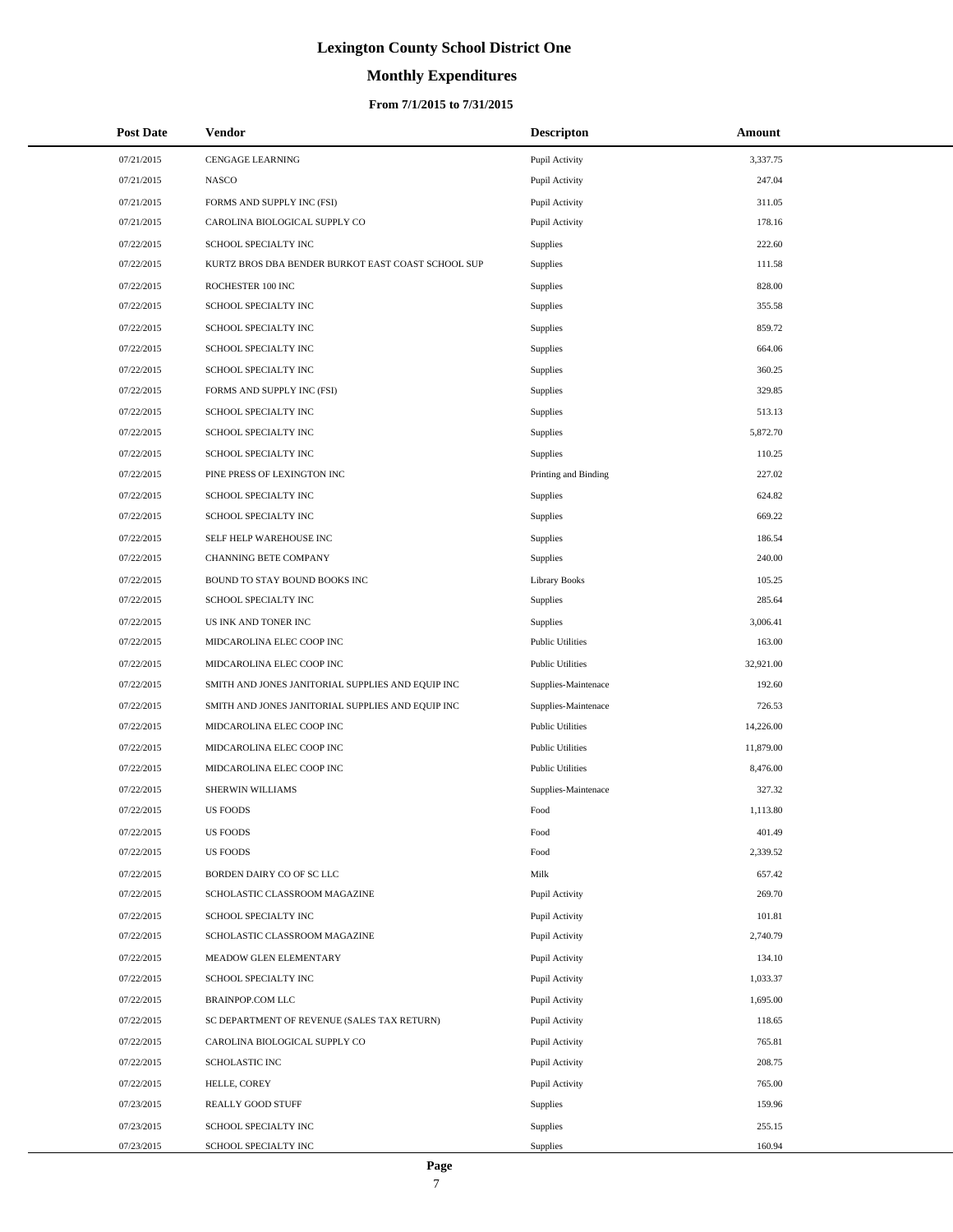# **Monthly Expenditures**

## **From 7/1/2015 to 7/31/2015**

| <b>Post Date</b> | Vendor                                             | <b>Descripton</b>       | Amount    |
|------------------|----------------------------------------------------|-------------------------|-----------|
| 07/21/2015       | <b>CENGAGE LEARNING</b>                            | Pupil Activity          | 3,337.75  |
| 07/21/2015       | NASCO                                              | Pupil Activity          | 247.04    |
| 07/21/2015       | FORMS AND SUPPLY INC (FSI)                         | Pupil Activity          | 311.05    |
| 07/21/2015       | CAROLINA BIOLOGICAL SUPPLY CO                      | Pupil Activity          | 178.16    |
| 07/22/2015       | SCHOOL SPECIALTY INC                               | Supplies                | 222.60    |
| 07/22/2015       | KURTZ BROS DBA BENDER BURKOT EAST COAST SCHOOL SUP | <b>Supplies</b>         | 111.58    |
| 07/22/2015       | ROCHESTER 100 INC                                  | <b>Supplies</b>         | 828.00    |
| 07/22/2015       | SCHOOL SPECIALTY INC                               | <b>Supplies</b>         | 355.58    |
| 07/22/2015       | SCHOOL SPECIALTY INC                               | <b>Supplies</b>         | 859.72    |
| 07/22/2015       | SCHOOL SPECIALTY INC                               | <b>Supplies</b>         | 664.06    |
| 07/22/2015       | SCHOOL SPECIALTY INC                               | <b>Supplies</b>         | 360.25    |
| 07/22/2015       | FORMS AND SUPPLY INC (FSI)                         | <b>Supplies</b>         | 329.85    |
| 07/22/2015       | SCHOOL SPECIALTY INC                               | <b>Supplies</b>         | 513.13    |
| 07/22/2015       | SCHOOL SPECIALTY INC                               | <b>Supplies</b>         | 5,872.70  |
| 07/22/2015       | SCHOOL SPECIALTY INC                               | <b>Supplies</b>         | 110.25    |
| 07/22/2015       | PINE PRESS OF LEXINGTON INC                        | Printing and Binding    | 227.02    |
| 07/22/2015       | SCHOOL SPECIALTY INC                               | <b>Supplies</b>         | 624.82    |
| 07/22/2015       | SCHOOL SPECIALTY INC                               | <b>Supplies</b>         | 669.22    |
| 07/22/2015       | SELF HELP WAREHOUSE INC                            | <b>Supplies</b>         | 186.54    |
| 07/22/2015       | CHANNING BETE COMPANY                              | <b>Supplies</b>         | 240.00    |
| 07/22/2015       | BOUND TO STAY BOUND BOOKS INC                      | <b>Library Books</b>    | 105.25    |
| 07/22/2015       | SCHOOL SPECIALTY INC                               | <b>Supplies</b>         | 285.64    |
| 07/22/2015       | US INK AND TONER INC                               | <b>Supplies</b>         | 3,006.41  |
| 07/22/2015       | MIDCAROLINA ELEC COOP INC                          | <b>Public Utilities</b> | 163.00    |
| 07/22/2015       | MIDCAROLINA ELEC COOP INC                          | <b>Public Utilities</b> | 32,921.00 |
| 07/22/2015       | SMITH AND JONES JANITORIAL SUPPLIES AND EQUIP INC  | Supplies-Maintenace     | 192.60    |
| 07/22/2015       | SMITH AND JONES JANITORIAL SUPPLIES AND EQUIP INC  | Supplies-Maintenace     | 726.53    |
| 07/22/2015       | MIDCAROLINA ELEC COOP INC                          | <b>Public Utilities</b> | 14,226.00 |
| 07/22/2015       | MIDCAROLINA ELEC COOP INC                          | <b>Public Utilities</b> | 11,879.00 |
| 07/22/2015       | MIDCAROLINA ELEC COOP INC                          | <b>Public Utilities</b> | 8,476.00  |
| 07/22/2015       | SHERWIN WILLIAMS                                   | Supplies-Maintenace     | 327.32    |
| 07/22/2015       | <b>US FOODS</b>                                    | Food                    | 1,113.80  |
| 07/22/2015       | <b>US FOODS</b>                                    | Food                    | 401.49    |
| 07/22/2015       | <b>US FOODS</b>                                    | Food                    | 2,339.52  |
| 07/22/2015       | BORDEN DAIRY CO OF SC LLC                          | Milk                    | 657.42    |
| 07/22/2015       | SCHOLASTIC CLASSROOM MAGAZINE                      | Pupil Activity          | 269.70    |
| 07/22/2015       | SCHOOL SPECIALTY INC                               | Pupil Activity          | 101.81    |
| 07/22/2015       | SCHOLASTIC CLASSROOM MAGAZINE                      | Pupil Activity          | 2,740.79  |
| 07/22/2015       | MEADOW GLEN ELEMENTARY                             | Pupil Activity          | 134.10    |
| 07/22/2015       | SCHOOL SPECIALTY INC                               | Pupil Activity          | 1,033.37  |
| 07/22/2015       | <b>BRAINPOP.COM LLC</b>                            | Pupil Activity          | 1,695.00  |
| 07/22/2015       | SC DEPARTMENT OF REVENUE (SALES TAX RETURN)        | Pupil Activity          | 118.65    |
| 07/22/2015       | CAROLINA BIOLOGICAL SUPPLY CO                      | Pupil Activity          | 765.81    |
| 07/22/2015       | SCHOLASTIC INC                                     | Pupil Activity          | 208.75    |
| 07/22/2015       | HELLE, COREY                                       | Pupil Activity          | 765.00    |
| 07/23/2015       | REALLY GOOD STUFF                                  | <b>Supplies</b>         | 159.96    |
| 07/23/2015       | SCHOOL SPECIALTY INC                               | <b>Supplies</b>         | 255.15    |
| 07/23/2015       | SCHOOL SPECIALTY INC                               | <b>Supplies</b>         | 160.94    |

÷.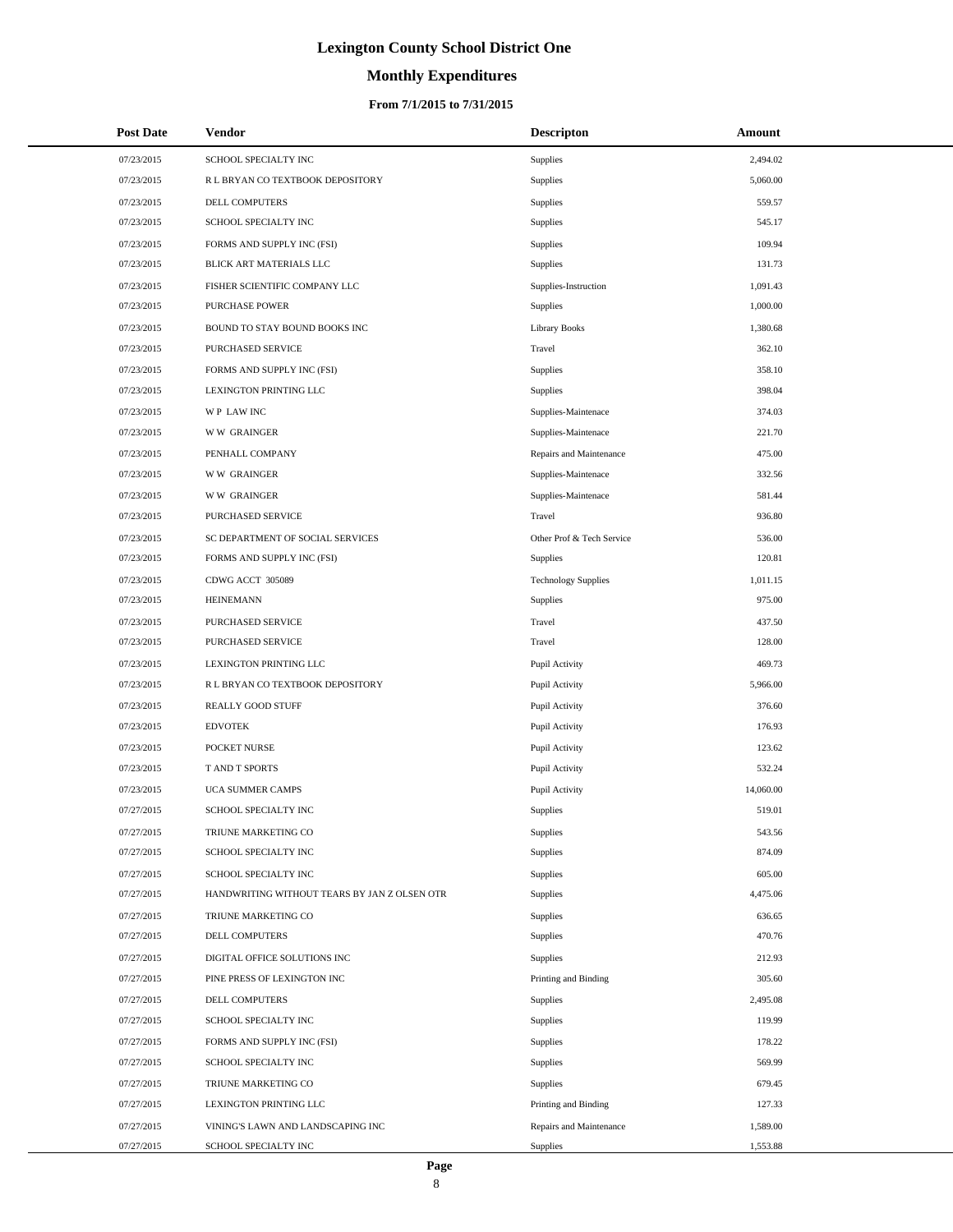# **Monthly Expenditures**

## **From 7/1/2015 to 7/31/2015**

| <b>Post Date</b> | <b>Vendor</b>                                | <b>Descripton</b>          | Amount    |
|------------------|----------------------------------------------|----------------------------|-----------|
| 07/23/2015       | SCHOOL SPECIALTY INC                         | Supplies                   | 2,494.02  |
| 07/23/2015       | R L BRYAN CO TEXTBOOK DEPOSITORY             | Supplies                   | 5,060.00  |
| 07/23/2015       | DELL COMPUTERS                               | Supplies                   | 559.57    |
| 07/23/2015       | SCHOOL SPECIALTY INC                         | Supplies                   | 545.17    |
| 07/23/2015       | FORMS AND SUPPLY INC (FSI)                   | Supplies                   | 109.94    |
| 07/23/2015       | BLICK ART MATERIALS LLC                      | Supplies                   | 131.73    |
| 07/23/2015       | FISHER SCIENTIFIC COMPANY LLC                | Supplies-Instruction       | 1,091.43  |
| 07/23/2015       | <b>PURCHASE POWER</b>                        | Supplies                   | 1,000.00  |
| 07/23/2015       | BOUND TO STAY BOUND BOOKS INC                | <b>Library Books</b>       | 1,380.68  |
| 07/23/2015       | PURCHASED SERVICE                            | Travel                     | 362.10    |
| 07/23/2015       | FORMS AND SUPPLY INC (FSI)                   | Supplies                   | 358.10    |
| 07/23/2015       | LEXINGTON PRINTING LLC                       | Supplies                   | 398.04    |
| 07/23/2015       | WP LAW INC                                   | Supplies-Maintenace        | 374.03    |
| 07/23/2015       | <b>WW GRAINGER</b>                           | Supplies-Maintenace        | 221.70    |
| 07/23/2015       | PENHALL COMPANY                              | Repairs and Maintenance    | 475.00    |
| 07/23/2015       | <b>WW GRAINGER</b>                           | Supplies-Maintenace        | 332.56    |
| 07/23/2015       | <b>WW GRAINGER</b>                           | Supplies-Maintenace        | 581.44    |
| 07/23/2015       | PURCHASED SERVICE                            | Travel                     | 936.80    |
| 07/23/2015       | SC DEPARTMENT OF SOCIAL SERVICES             | Other Prof & Tech Service  | 536.00    |
| 07/23/2015       | FORMS AND SUPPLY INC (FSI)                   | Supplies                   | 120.81    |
| 07/23/2015       | CDWG ACCT 305089                             | <b>Technology Supplies</b> | 1,011.15  |
| 07/23/2015       | <b>HEINEMANN</b>                             | Supplies                   | 975.00    |
| 07/23/2015       | PURCHASED SERVICE                            | Travel                     | 437.50    |
| 07/23/2015       | PURCHASED SERVICE                            | Travel                     | 128.00    |
| 07/23/2015       | LEXINGTON PRINTING LLC                       | Pupil Activity             | 469.73    |
| 07/23/2015       | R L BRYAN CO TEXTBOOK DEPOSITORY             | Pupil Activity             | 5,966.00  |
| 07/23/2015       | REALLY GOOD STUFF                            | Pupil Activity             | 376.60    |
| 07/23/2015       | <b>EDVOTEK</b>                               | Pupil Activity             | 176.93    |
| 07/23/2015       | POCKET NURSE                                 | Pupil Activity             | 123.62    |
| 07/23/2015       | T AND T SPORTS                               | Pupil Activity             | 532.24    |
| 07/23/2015       | <b>UCA SUMMER CAMPS</b>                      | Pupil Activity             | 14,060.00 |
| 07/27/2015       | SCHOOL SPECIALTY INC                         | Supplies                   | 519.01    |
| 07/27/2015       | TRIUNE MARKETING CO                          | Supplies                   | 543.56    |
| 07/27/2015       | SCHOOL SPECIALTY INC                         | Supplies                   | 874.09    |
| 07/27/2015       | SCHOOL SPECIALTY INC                         | Supplies                   | 605.00    |
| 07/27/2015       | HANDWRITING WITHOUT TEARS BY JAN Z OLSEN OTR | Supplies                   | 4,475.06  |
| 07/27/2015       | TRIUNE MARKETING CO                          | Supplies                   | 636.65    |
| 07/27/2015       | DELL COMPUTERS                               | Supplies                   | 470.76    |
| 07/27/2015       | DIGITAL OFFICE SOLUTIONS INC                 | Supplies                   | 212.93    |
| 07/27/2015       | PINE PRESS OF LEXINGTON INC                  | Printing and Binding       | 305.60    |
| 07/27/2015       | <b>DELL COMPUTERS</b>                        | Supplies                   | 2,495.08  |
| 07/27/2015       | SCHOOL SPECIALTY INC                         | Supplies                   | 119.99    |
| 07/27/2015       | FORMS AND SUPPLY INC (FSI)                   | Supplies                   | 178.22    |
| 07/27/2015       | SCHOOL SPECIALTY INC                         | Supplies                   | 569.99    |
| 07/27/2015       | TRIUNE MARKETING CO                          | <b>Supplies</b>            | 679.45    |
| 07/27/2015       | LEXINGTON PRINTING LLC                       | Printing and Binding       | 127.33    |
| 07/27/2015       | VINING'S LAWN AND LANDSCAPING INC            | Repairs and Maintenance    | 1,589.00  |
| 07/27/2015       | SCHOOL SPECIALTY INC                         | Supplies                   | 1,553.88  |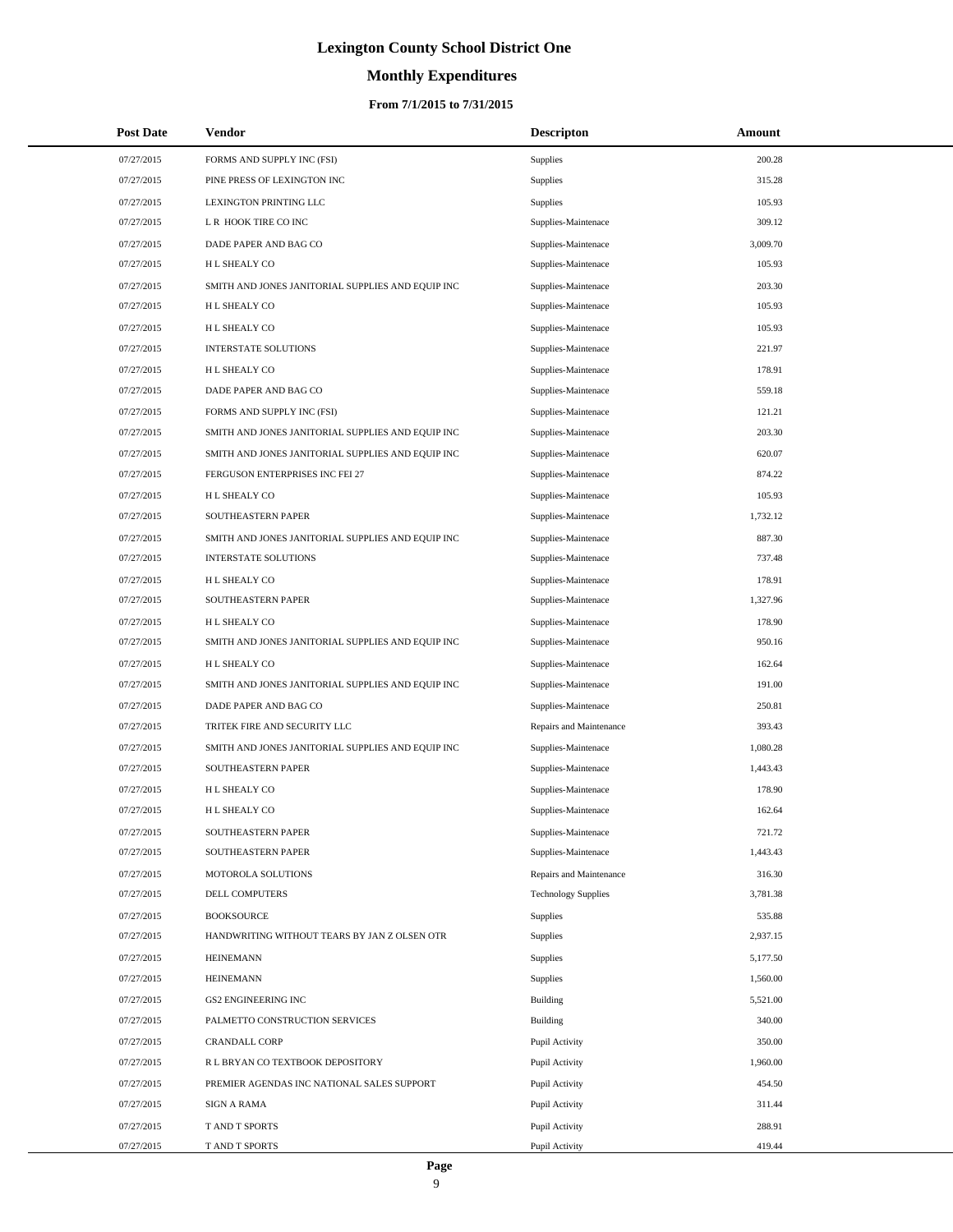# **Monthly Expenditures**

### **From 7/1/2015 to 7/31/2015**

| <b>Post Date</b> | Vendor                                            | <b>Descripton</b>          | Amount   |
|------------------|---------------------------------------------------|----------------------------|----------|
| 07/27/2015       | FORMS AND SUPPLY INC (FSI)                        | <b>Supplies</b>            | 200.28   |
| 07/27/2015       | PINE PRESS OF LEXINGTON INC                       | Supplies                   | 315.28   |
| 07/27/2015       | LEXINGTON PRINTING LLC                            | <b>Supplies</b>            | 105.93   |
| 07/27/2015       | L R HOOK TIRE CO INC                              | Supplies-Maintenace        | 309.12   |
| 07/27/2015       | DADE PAPER AND BAG CO                             | Supplies-Maintenace        | 3,009.70 |
| 07/27/2015       | H L SHEALY CO                                     | Supplies-Maintenace        | 105.93   |
| 07/27/2015       | SMITH AND JONES JANITORIAL SUPPLIES AND EQUIP INC | Supplies-Maintenace        | 203.30   |
| 07/27/2015       | H L SHEALY CO                                     | Supplies-Maintenace        | 105.93   |
| 07/27/2015       | H L SHEALY CO                                     | Supplies-Maintenace        | 105.93   |
| 07/27/2015       | <b>INTERSTATE SOLUTIONS</b>                       | Supplies-Maintenace        | 221.97   |
| 07/27/2015       | H L SHEALY CO                                     | Supplies-Maintenace        | 178.91   |
| 07/27/2015       | DADE PAPER AND BAG CO                             | Supplies-Maintenace        | 559.18   |
| 07/27/2015       | FORMS AND SUPPLY INC (FSI)                        | Supplies-Maintenace        | 121.21   |
| 07/27/2015       | SMITH AND JONES JANITORIAL SUPPLIES AND EQUIP INC | Supplies-Maintenace        | 203.30   |
| 07/27/2015       | SMITH AND JONES JANITORIAL SUPPLIES AND EQUIP INC | Supplies-Maintenace        | 620.07   |
| 07/27/2015       | FERGUSON ENTERPRISES INC FEI 27                   | Supplies-Maintenace        | 874.22   |
| 07/27/2015       | H L SHEALY CO                                     | Supplies-Maintenace        | 105.93   |
| 07/27/2015       | SOUTHEASTERN PAPER                                | Supplies-Maintenace        | 1,732.12 |
| 07/27/2015       | SMITH AND JONES JANITORIAL SUPPLIES AND EQUIP INC | Supplies-Maintenace        | 887.30   |
| 07/27/2015       | <b>INTERSTATE SOLUTIONS</b>                       | Supplies-Maintenace        | 737.48   |
| 07/27/2015       | H L SHEALY CO                                     | Supplies-Maintenace        | 178.91   |
| 07/27/2015       | SOUTHEASTERN PAPER                                | Supplies-Maintenace        | 1,327.96 |
| 07/27/2015       | H L SHEALY CO                                     | Supplies-Maintenace        | 178.90   |
| 07/27/2015       | SMITH AND JONES JANITORIAL SUPPLIES AND EQUIP INC | Supplies-Maintenace        | 950.16   |
| 07/27/2015       | H L SHEALY CO                                     | Supplies-Maintenace        | 162.64   |
| 07/27/2015       | SMITH AND JONES JANITORIAL SUPPLIES AND EQUIP INC | Supplies-Maintenace        | 191.00   |
| 07/27/2015       | DADE PAPER AND BAG CO                             | Supplies-Maintenace        | 250.81   |
| 07/27/2015       | TRITEK FIRE AND SECURITY LLC                      | Repairs and Maintenance    | 393.43   |
| 07/27/2015       | SMITH AND JONES JANITORIAL SUPPLIES AND EQUIP INC | Supplies-Maintenace        | 1,080.28 |
| 07/27/2015       | SOUTHEASTERN PAPER                                | Supplies-Maintenace        | 1,443.43 |
| 07/27/2015       | H L SHEALY CO                                     | Supplies-Maintenace        | 178.90   |
| 07/27/2015       | H L SHEALY CO                                     | Supplies-Maintenace        | 162.64   |
| 07/27/2015       | SOUTHEASTERN PAPER                                | Supplies-Maintenace        | 721.72   |
| 07/27/2015       | SOUTHEASTERN PAPER                                | Supplies-Maintenace        | 1,443.43 |
| 07/27/2015       | MOTOROLA SOLUTIONS                                | Repairs and Maintenance    | 316.30   |
| 07/27/2015       | <b>DELL COMPUTERS</b>                             | <b>Technology Supplies</b> | 3,781.38 |
| 07/27/2015       | <b>BOOKSOURCE</b>                                 | <b>Supplies</b>            | 535.88   |
| 07/27/2015       | HANDWRITING WITHOUT TEARS BY JAN Z OLSEN OTR      | <b>Supplies</b>            | 2,937.15 |
| 07/27/2015       | <b>HEINEMANN</b>                                  | <b>Supplies</b>            | 5,177.50 |
| 07/27/2015       | <b>HEINEMANN</b>                                  | Supplies                   | 1,560.00 |
| 07/27/2015       | <b>GS2 ENGINEERING INC</b>                        | Building                   | 5,521.00 |
| 07/27/2015       | PALMETTO CONSTRUCTION SERVICES                    | Building                   | 340.00   |
| 07/27/2015       | <b>CRANDALL CORP</b>                              | Pupil Activity             | 350.00   |
| 07/27/2015       | R L BRYAN CO TEXTBOOK DEPOSITORY                  | Pupil Activity             | 1,960.00 |
| 07/27/2015       | PREMIER AGENDAS INC NATIONAL SALES SUPPORT        | Pupil Activity             | 454.50   |
| 07/27/2015       | SIGN A RAMA                                       | Pupil Activity             | 311.44   |
| 07/27/2015       | T AND T SPORTS                                    | Pupil Activity             | 288.91   |
| 07/27/2015       | T AND T SPORTS                                    | Pupil Activity             | 419.44   |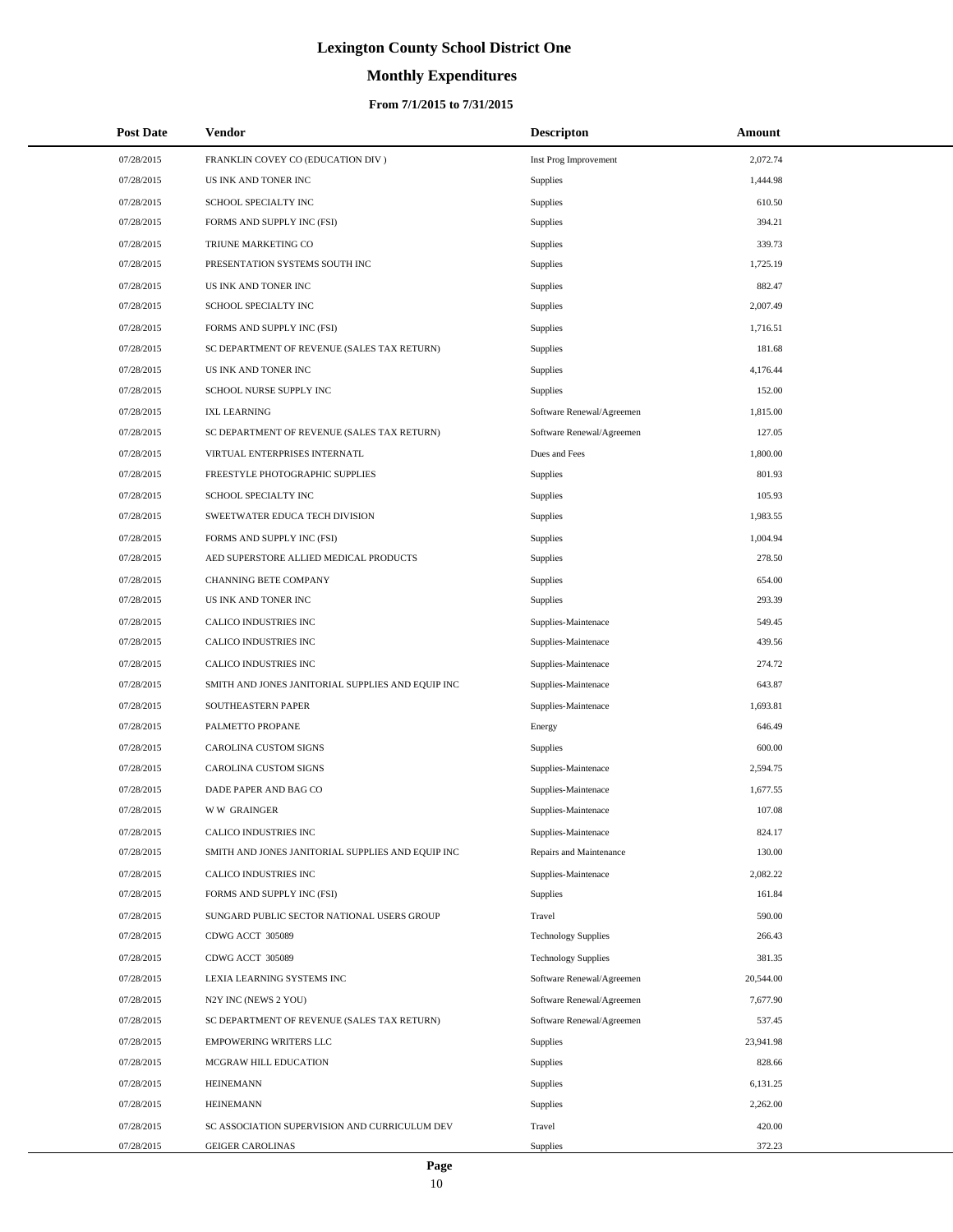# **Monthly Expenditures**

## **From 7/1/2015 to 7/31/2015**

| <b>Post Date</b> | Vendor                                            | <b>Descripton</b>          | Amount    |
|------------------|---------------------------------------------------|----------------------------|-----------|
| 07/28/2015       | FRANKLIN COVEY CO (EDUCATION DIV)                 | Inst Prog Improvement      | 2,072.74  |
| 07/28/2015       | US INK AND TONER INC                              | <b>Supplies</b>            | 1,444.98  |
| 07/28/2015       | SCHOOL SPECIALTY INC                              | <b>Supplies</b>            | 610.50    |
| 07/28/2015       | FORMS AND SUPPLY INC (FSI)                        | Supplies                   | 394.21    |
| 07/28/2015       | TRIUNE MARKETING CO                               | Supplies                   | 339.73    |
| 07/28/2015       | PRESENTATION SYSTEMS SOUTH INC                    | Supplies                   | 1,725.19  |
| 07/28/2015       | US INK AND TONER INC                              | <b>Supplies</b>            | 882.47    |
| 07/28/2015       | SCHOOL SPECIALTY INC                              | Supplies                   | 2,007.49  |
| 07/28/2015       | FORMS AND SUPPLY INC (FSI)                        | Supplies                   | 1,716.51  |
| 07/28/2015       | SC DEPARTMENT OF REVENUE (SALES TAX RETURN)       | Supplies                   | 181.68    |
| 07/28/2015       | US INK AND TONER INC                              | <b>Supplies</b>            | 4,176.44  |
| 07/28/2015       | SCHOOL NURSE SUPPLY INC                           | <b>Supplies</b>            | 152.00    |
| 07/28/2015       | <b>IXL LEARNING</b>                               | Software Renewal/Agreemen  | 1,815.00  |
| 07/28/2015       | SC DEPARTMENT OF REVENUE (SALES TAX RETURN)       | Software Renewal/Agreemen  | 127.05    |
| 07/28/2015       | VIRTUAL ENTERPRISES INTERNATL                     | Dues and Fees              | 1,800.00  |
| 07/28/2015       | FREESTYLE PHOTOGRAPHIC SUPPLIES                   | Supplies                   | 801.93    |
| 07/28/2015       | SCHOOL SPECIALTY INC                              | Supplies                   | 105.93    |
| 07/28/2015       | SWEETWATER EDUCA TECH DIVISION                    | Supplies                   | 1,983.55  |
| 07/28/2015       | FORMS AND SUPPLY INC (FSI)                        | Supplies                   | 1,004.94  |
| 07/28/2015       | AED SUPERSTORE ALLIED MEDICAL PRODUCTS            | <b>Supplies</b>            | 278.50    |
| 07/28/2015       | CHANNING BETE COMPANY                             | Supplies                   | 654.00    |
| 07/28/2015       | US INK AND TONER INC                              | Supplies                   | 293.39    |
| 07/28/2015       | CALICO INDUSTRIES INC                             | Supplies-Maintenace        | 549.45    |
| 07/28/2015       | CALICO INDUSTRIES INC                             | Supplies-Maintenace        | 439.56    |
| 07/28/2015       | CALICO INDUSTRIES INC                             | Supplies-Maintenace        | 274.72    |
| 07/28/2015       | SMITH AND JONES JANITORIAL SUPPLIES AND EQUIP INC | Supplies-Maintenace        | 643.87    |
| 07/28/2015       | SOUTHEASTERN PAPER                                | Supplies-Maintenace        | 1,693.81  |
| 07/28/2015       | PALMETTO PROPANE                                  | Energy                     | 646.49    |
| 07/28/2015       | <b>CAROLINA CUSTOM SIGNS</b>                      | Supplies                   | 600.00    |
| 07/28/2015       | CAROLINA CUSTOM SIGNS                             | Supplies-Maintenace        | 2,594.75  |
| 07/28/2015       | DADE PAPER AND BAG CO                             | Supplies-Maintenace        | 1,677.55  |
| 07/28/2015       | <b>WW GRAINGER</b>                                | Supplies-Maintenace        | 107.08    |
| 07/28/2015       | CALICO INDUSTRIES INC                             | Supplies-Maintenace        | 824.17    |
| 07/28/2015       | SMITH AND JONES JANITORIAL SUPPLIES AND EQUIP INC | Repairs and Maintenance    | 130.00    |
| 07/28/2015       | CALICO INDUSTRIES INC                             | Supplies-Maintenace        | 2,082.22  |
| 07/28/2015       | FORMS AND SUPPLY INC (FSI)                        | Supplies                   | 161.84    |
| 07/28/2015       | SUNGARD PUBLIC SECTOR NATIONAL USERS GROUP        | Travel                     | 590.00    |
| 07/28/2015       | CDWG ACCT 305089                                  | <b>Technology Supplies</b> | 266.43    |
| 07/28/2015       | CDWG ACCT 305089                                  | <b>Technology Supplies</b> | 381.35    |
| 07/28/2015       | LEXIA LEARNING SYSTEMS INC                        | Software Renewal/Agreemen  | 20,544.00 |
| 07/28/2015       | N2Y INC (NEWS 2 YOU)                              | Software Renewal/Agreemen  | 7,677.90  |
| 07/28/2015       | SC DEPARTMENT OF REVENUE (SALES TAX RETURN)       | Software Renewal/Agreemen  | 537.45    |
| 07/28/2015       | <b>EMPOWERING WRITERS LLC</b>                     | Supplies                   | 23,941.98 |
| 07/28/2015       | MCGRAW HILL EDUCATION                             | Supplies                   | 828.66    |
| 07/28/2015       | <b>HEINEMANN</b>                                  | Supplies                   | 6,131.25  |
| 07/28/2015       | <b>HEINEMANN</b>                                  | Supplies                   | 2,262.00  |
| 07/28/2015       | SC ASSOCIATION SUPERVISION AND CURRICULUM DEV     | Travel                     | 420.00    |
| 07/28/2015       | <b>GEIGER CAROLINAS</b>                           | Supplies                   | 372.23    |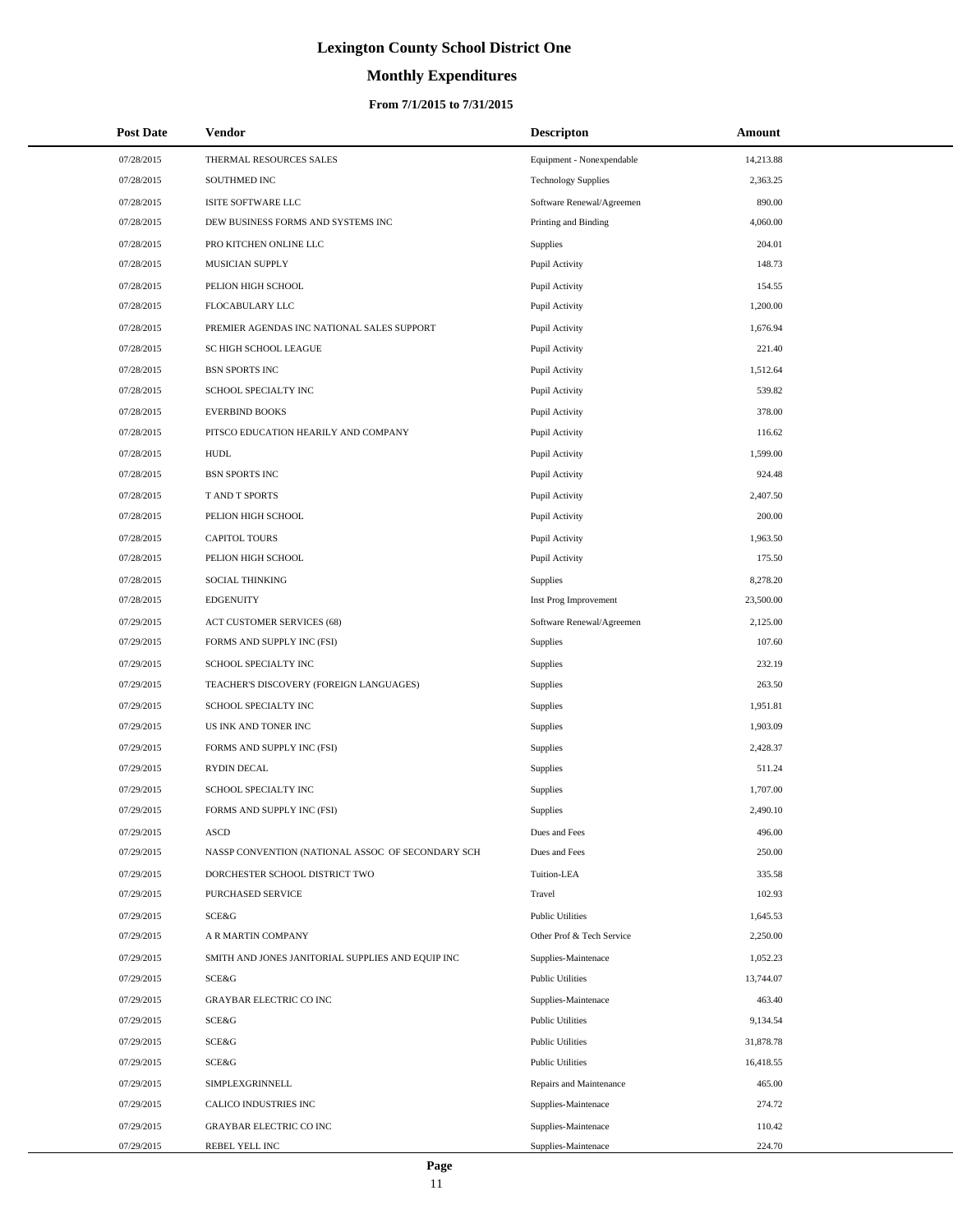# **Monthly Expenditures**

## **From 7/1/2015 to 7/31/2015**

| <b>Post Date</b> | Vendor                                            | <b>Descripton</b>          | Amount    |
|------------------|---------------------------------------------------|----------------------------|-----------|
| 07/28/2015       | THERMAL RESOURCES SALES                           | Equipment - Nonexpendable  | 14,213.88 |
| 07/28/2015       | SOUTHMED INC                                      | <b>Technology Supplies</b> | 2,363.25  |
| 07/28/2015       | ISITE SOFTWARE LLC                                | Software Renewal/Agreemen  | 890.00    |
| 07/28/2015       | DEW BUSINESS FORMS AND SYSTEMS INC                | Printing and Binding       | 4,060.00  |
| 07/28/2015       | PRO KITCHEN ONLINE LLC                            | Supplies                   | 204.01    |
| 07/28/2015       | MUSICIAN SUPPLY                                   | Pupil Activity             | 148.73    |
| 07/28/2015       | PELION HIGH SCHOOL                                | Pupil Activity             | 154.55    |
| 07/28/2015       | FLOCABULARY LLC                                   | Pupil Activity             | 1,200.00  |
| 07/28/2015       | PREMIER AGENDAS INC NATIONAL SALES SUPPORT        | Pupil Activity             | 1,676.94  |
| 07/28/2015       | SC HIGH SCHOOL LEAGUE                             | Pupil Activity             | 221.40    |
| 07/28/2015       | <b>BSN SPORTS INC</b>                             | Pupil Activity             | 1,512.64  |
| 07/28/2015       | SCHOOL SPECIALTY INC                              | Pupil Activity             | 539.82    |
| 07/28/2015       | <b>EVERBIND BOOKS</b>                             | Pupil Activity             | 378.00    |
| 07/28/2015       | PITSCO EDUCATION HEARILY AND COMPANY              | Pupil Activity             | 116.62    |
| 07/28/2015       | <b>HUDL</b>                                       | Pupil Activity             | 1,599.00  |
| 07/28/2015       | <b>BSN SPORTS INC</b>                             | Pupil Activity             | 924.48    |
| 07/28/2015       | T AND T SPORTS                                    | Pupil Activity             | 2,407.50  |
| 07/28/2015       | PELION HIGH SCHOOL                                | Pupil Activity             | 200.00    |
| 07/28/2015       | <b>CAPITOL TOURS</b>                              | Pupil Activity             | 1,963.50  |
| 07/28/2015       | PELION HIGH SCHOOL                                | Pupil Activity             | 175.50    |
| 07/28/2015       | <b>SOCIAL THINKING</b>                            | Supplies                   | 8,278.20  |
| 07/28/2015       | <b>EDGENUITY</b>                                  | Inst Prog Improvement      | 23,500.00 |
| 07/29/2015       | ACT CUSTOMER SERVICES (68)                        | Software Renewal/Agreemen  | 2,125.00  |
| 07/29/2015       | FORMS AND SUPPLY INC (FSI)                        | <b>Supplies</b>            | 107.60    |
| 07/29/2015       | SCHOOL SPECIALTY INC                              | Supplies                   | 232.19    |
| 07/29/2015       | TEACHER'S DISCOVERY (FOREIGN LANGUAGES)           | Supplies                   | 263.50    |
| 07/29/2015       | SCHOOL SPECIALTY INC                              | Supplies                   | 1,951.81  |
| 07/29/2015       | US INK AND TONER INC                              | Supplies                   | 1,903.09  |
| 07/29/2015       | FORMS AND SUPPLY INC (FSI)                        | Supplies                   | 2,428.37  |
| 07/29/2015       | RYDIN DECAL                                       | Supplies                   | 511.24    |
| 07/29/2015       | SCHOOL SPECIALTY INC                              | Supplies                   | 1,707.00  |
| 07/29/2015       | FORMS AND SUPPLY INC (FSI)                        | Supplies                   | 2,490.10  |
| 07/29/2015       | <b>ASCD</b>                                       | Dues and Fees              | 496.00    |
| 07/29/2015       | NASSP CONVENTION (NATIONAL ASSOC OF SECONDARY SCH | Dues and Fees              | 250.00    |
| 07/29/2015       | DORCHESTER SCHOOL DISTRICT TWO                    | Tuition-LEA                | 335.58    |
| 07/29/2015       | PURCHASED SERVICE                                 | Travel                     | 102.93    |
| 07/29/2015       | SCE&G                                             | <b>Public Utilities</b>    | 1,645.53  |
| 07/29/2015       | A R MARTIN COMPANY                                | Other Prof & Tech Service  | 2,250.00  |
| 07/29/2015       | SMITH AND JONES JANITORIAL SUPPLIES AND EQUIP INC | Supplies-Maintenace        | 1,052.23  |
| 07/29/2015       | SCE&G                                             | <b>Public Utilities</b>    | 13,744.07 |
| 07/29/2015       | <b>GRAYBAR ELECTRIC CO INC</b>                    | Supplies-Maintenace        | 463.40    |
| 07/29/2015       | SCE&G                                             | <b>Public Utilities</b>    | 9,134.54  |
| 07/29/2015       | SCE&G                                             | <b>Public Utilities</b>    | 31,878.78 |
| 07/29/2015       | SCE&G                                             | <b>Public Utilities</b>    | 16,418.55 |
| 07/29/2015       | SIMPLEXGRINNELL                                   | Repairs and Maintenance    | 465.00    |
| 07/29/2015       | CALICO INDUSTRIES INC                             | Supplies-Maintenace        | 274.72    |
| 07/29/2015       | <b>GRAYBAR ELECTRIC CO INC</b>                    | Supplies-Maintenace        | 110.42    |
| 07/29/2015       | REBEL YELL INC                                    | Supplies-Maintenace        | 224.70    |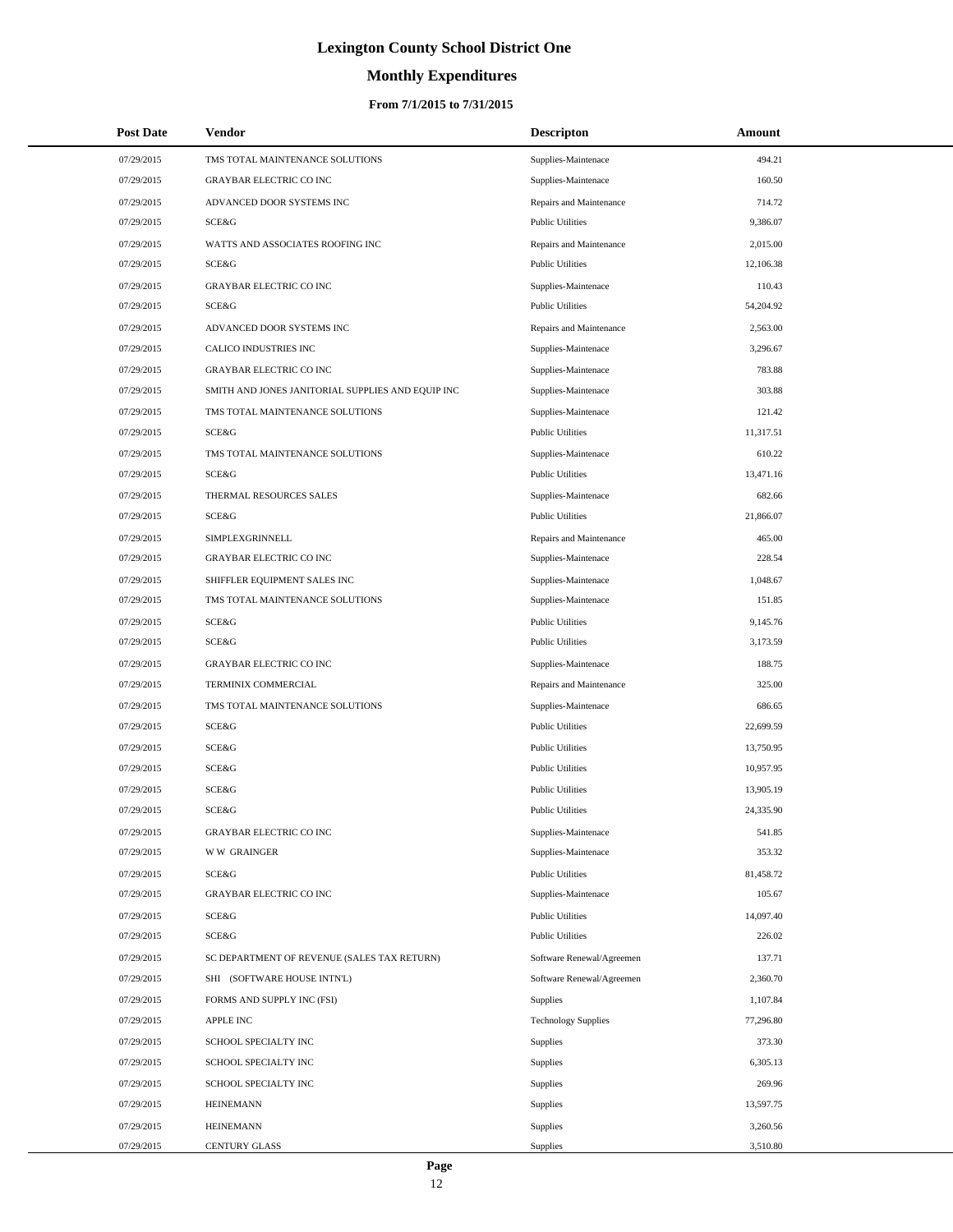# **Monthly Expenditures**

## **From 7/1/2015 to 7/31/2015**

| <b>Post Date</b> | Vendor                                            | <b>Descripton</b>          | Amount    |
|------------------|---------------------------------------------------|----------------------------|-----------|
| 07/29/2015       | TMS TOTAL MAINTENANCE SOLUTIONS                   | Supplies-Maintenace        | 494.21    |
| 07/29/2015       | <b>GRAYBAR ELECTRIC CO INC</b>                    | Supplies-Maintenace        | 160.50    |
| 07/29/2015       | ADVANCED DOOR SYSTEMS INC                         | Repairs and Maintenance    | 714.72    |
| 07/29/2015       | <b>SCE&amp;G</b>                                  | <b>Public Utilities</b>    | 9,386.07  |
| 07/29/2015       | WATTS AND ASSOCIATES ROOFING INC                  | Repairs and Maintenance    | 2,015.00  |
| 07/29/2015       | SCE&G                                             | <b>Public Utilities</b>    | 12,106.38 |
| 07/29/2015       | <b>GRAYBAR ELECTRIC CO INC</b>                    | Supplies-Maintenace        | 110.43    |
| 07/29/2015       | SCE&G                                             | <b>Public Utilities</b>    | 54,204.92 |
| 07/29/2015       | ADVANCED DOOR SYSTEMS INC                         | Repairs and Maintenance    | 2,563.00  |
| 07/29/2015       | CALICO INDUSTRIES INC                             | Supplies-Maintenace        | 3,296.67  |
| 07/29/2015       | <b>GRAYBAR ELECTRIC CO INC</b>                    | Supplies-Maintenace        | 783.88    |
| 07/29/2015       | SMITH AND JONES JANITORIAL SUPPLIES AND EQUIP INC | Supplies-Maintenace        | 303.88    |
| 07/29/2015       | TMS TOTAL MAINTENANCE SOLUTIONS                   | Supplies-Maintenace        | 121.42    |
| 07/29/2015       | SCE&G                                             | <b>Public Utilities</b>    | 11,317.51 |
| 07/29/2015       | TMS TOTAL MAINTENANCE SOLUTIONS                   | Supplies-Maintenace        | 610.22    |
| 07/29/2015       | SCE&G                                             | <b>Public Utilities</b>    | 13,471.16 |
| 07/29/2015       | THERMAL RESOURCES SALES                           | Supplies-Maintenace        | 682.66    |
| 07/29/2015       | SCE&G                                             | <b>Public Utilities</b>    | 21,866.07 |
| 07/29/2015       | <b>SIMPLEXGRINNELL</b>                            | Repairs and Maintenance    | 465.00    |
| 07/29/2015       | <b>GRAYBAR ELECTRIC CO INC</b>                    | Supplies-Maintenace        | 228.54    |
| 07/29/2015       | SHIFFLER EQUIPMENT SALES INC                      | Supplies-Maintenace        | 1,048.67  |
| 07/29/2015       | TMS TOTAL MAINTENANCE SOLUTIONS                   | Supplies-Maintenace        | 151.85    |
| 07/29/2015       | SCE&G                                             | <b>Public Utilities</b>    | 9,145.76  |
| 07/29/2015       | SCE&G                                             | <b>Public Utilities</b>    | 3,173.59  |
| 07/29/2015       | <b>GRAYBAR ELECTRIC CO INC</b>                    | Supplies-Maintenace        | 188.75    |
| 07/29/2015       | TERMINIX COMMERCIAL                               | Repairs and Maintenance    | 325.00    |
| 07/29/2015       | TMS TOTAL MAINTENANCE SOLUTIONS                   | Supplies-Maintenace        | 686.65    |
| 07/29/2015       | SCE&G                                             | <b>Public Utilities</b>    | 22,699.59 |
| 07/29/2015       | SCE&G                                             | <b>Public Utilities</b>    | 13,750.95 |
| 07/29/2015       | <b>SCE&amp;G</b>                                  | <b>Public Utilities</b>    | 10,957.95 |
| 07/29/2015       | SCE&G                                             | <b>Public Utilities</b>    | 13,905.19 |
| 07/29/2015       | SCE&G                                             | <b>Public Utilities</b>    | 24,335.90 |
| 07/29/2015       | <b>GRAYBAR ELECTRIC CO INC</b>                    | Supplies-Maintenace        | 541.85    |
| 07/29/2015       | <b>WW GRAINGER</b>                                | Supplies-Maintenace        | 353.32    |
| 07/29/2015       | SCE&G                                             | <b>Public Utilities</b>    | 81,458.72 |
| 07/29/2015       | <b>GRAYBAR ELECTRIC CO INC</b>                    | Supplies-Maintenace        | 105.67    |
| 07/29/2015       | SCE&G                                             | <b>Public Utilities</b>    | 14,097.40 |
| 07/29/2015       | SCE&G                                             | <b>Public Utilities</b>    | 226.02    |
| 07/29/2015       | SC DEPARTMENT OF REVENUE (SALES TAX RETURN)       | Software Renewal/Agreemen  | 137.71    |
| 07/29/2015       | SHI (SOFTWARE HOUSE INTN'L)                       | Software Renewal/Agreemen  | 2,360.70  |
| 07/29/2015       | FORMS AND SUPPLY INC (FSI)                        | <b>Supplies</b>            | 1,107.84  |
| 07/29/2015       | <b>APPLE INC</b>                                  | <b>Technology Supplies</b> | 77,296.80 |
| 07/29/2015       | SCHOOL SPECIALTY INC                              | Supplies                   | 373.30    |
| 07/29/2015       | SCHOOL SPECIALTY INC                              | Supplies                   | 6,305.13  |
| 07/29/2015       | SCHOOL SPECIALTY INC                              | Supplies                   | 269.96    |
| 07/29/2015       | <b>HEINEMANN</b>                                  | Supplies                   | 13,597.75 |
| 07/29/2015       | <b>HEINEMANN</b>                                  | Supplies                   | 3,260.56  |
| 07/29/2015       | <b>CENTURY GLASS</b>                              | <b>Supplies</b>            | 3,510.80  |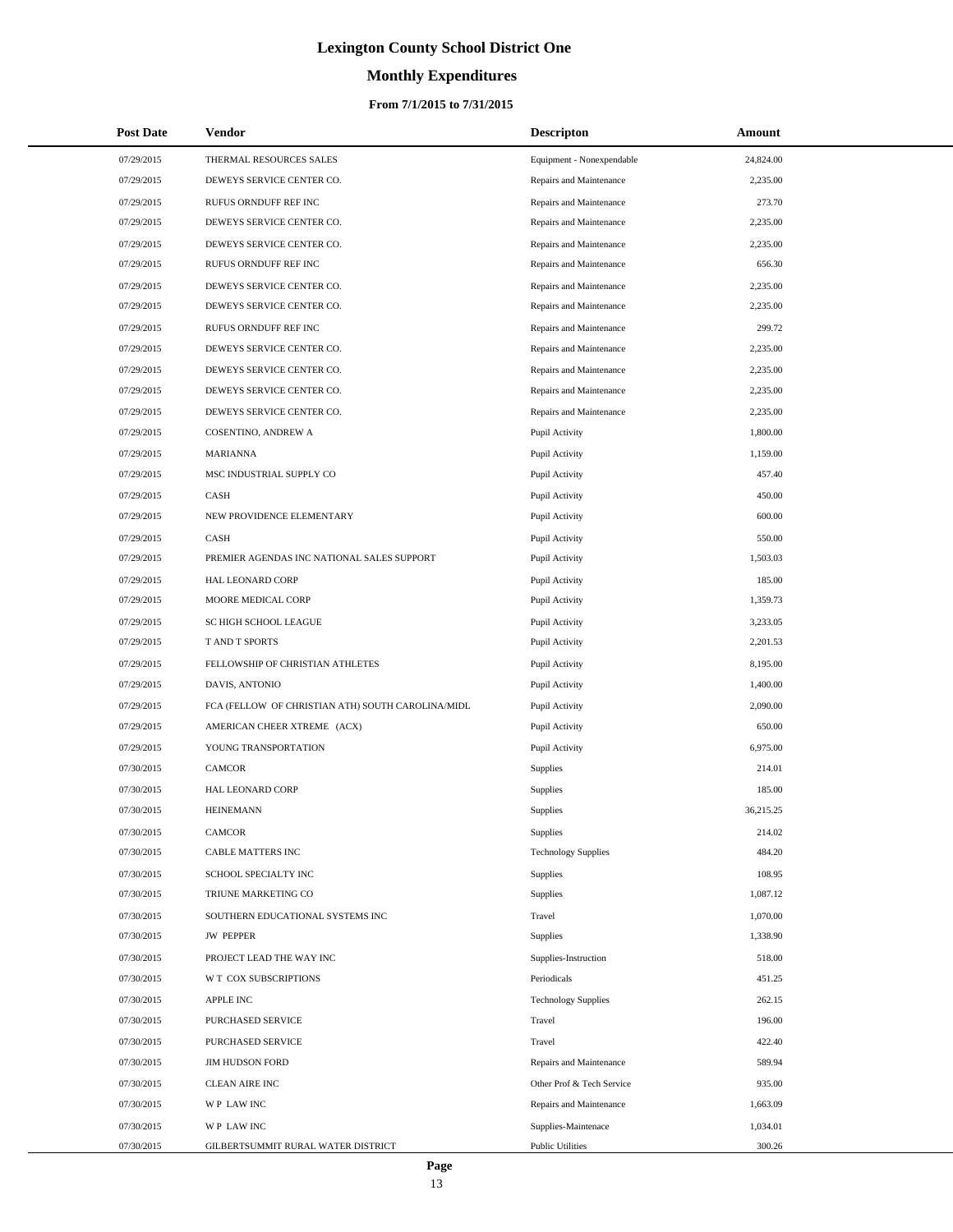# **Monthly Expenditures**

## **From 7/1/2015 to 7/31/2015**

| <b>Post Date</b> | Vendor                                            | <b>Descripton</b>          | Amount    |
|------------------|---------------------------------------------------|----------------------------|-----------|
| 07/29/2015       | THERMAL RESOURCES SALES                           | Equipment - Nonexpendable  | 24,824.00 |
| 07/29/2015       | DEWEYS SERVICE CENTER CO.                         | Repairs and Maintenance    | 2,235.00  |
| 07/29/2015       | RUFUS ORNDUFF REF INC                             | Repairs and Maintenance    | 273.70    |
| 07/29/2015       | DEWEYS SERVICE CENTER CO.                         | Repairs and Maintenance    | 2,235.00  |
| 07/29/2015       | DEWEYS SERVICE CENTER CO.                         | Repairs and Maintenance    | 2,235.00  |
| 07/29/2015       | RUFUS ORNDUFF REF INC                             | Repairs and Maintenance    | 656.30    |
| 07/29/2015       | DEWEYS SERVICE CENTER CO.                         | Repairs and Maintenance    | 2,235.00  |
| 07/29/2015       | DEWEYS SERVICE CENTER CO.                         | Repairs and Maintenance    | 2,235.00  |
| 07/29/2015       | RUFUS ORNDUFF REF INC                             | Repairs and Maintenance    | 299.72    |
| 07/29/2015       | DEWEYS SERVICE CENTER CO.                         | Repairs and Maintenance    | 2,235.00  |
| 07/29/2015       | DEWEYS SERVICE CENTER CO.                         | Repairs and Maintenance    | 2,235.00  |
| 07/29/2015       | DEWEYS SERVICE CENTER CO.                         | Repairs and Maintenance    | 2,235.00  |
| 07/29/2015       | DEWEYS SERVICE CENTER CO.                         | Repairs and Maintenance    | 2,235.00  |
| 07/29/2015       | COSENTINO, ANDREW A                               | Pupil Activity             | 1,800.00  |
| 07/29/2015       | <b>MARIANNA</b>                                   | Pupil Activity             | 1,159.00  |
| 07/29/2015       | MSC INDUSTRIAL SUPPLY CO                          | Pupil Activity             | 457.40    |
| 07/29/2015       | CASH                                              | Pupil Activity             | 450.00    |
| 07/29/2015       | NEW PROVIDENCE ELEMENTARY                         | Pupil Activity             | 600.00    |
| 07/29/2015       | CASH                                              | Pupil Activity             | 550.00    |
| 07/29/2015       | PREMIER AGENDAS INC NATIONAL SALES SUPPORT        | Pupil Activity             | 1,503.03  |
| 07/29/2015       | HAL LEONARD CORP                                  | Pupil Activity             | 185.00    |
| 07/29/2015       | MOORE MEDICAL CORP                                | Pupil Activity             | 1,359.73  |
| 07/29/2015       | SC HIGH SCHOOL LEAGUE                             | Pupil Activity             | 3,233.05  |
| 07/29/2015       | T AND T SPORTS                                    | Pupil Activity             | 2,201.53  |
| 07/29/2015       | FELLOWSHIP OF CHRISTIAN ATHLETES                  | Pupil Activity             | 8,195.00  |
| 07/29/2015       | DAVIS, ANTONIO                                    | Pupil Activity             | 1,400.00  |
| 07/29/2015       | FCA (FELLOW OF CHRISTIAN ATH) SOUTH CAROLINA/MIDL | Pupil Activity             | 2,090.00  |
| 07/29/2015       | AMERICAN CHEER XTREME (ACX)                       | Pupil Activity             | 650.00    |
| 07/29/2015       | YOUNG TRANSPORTATION                              | Pupil Activity             | 6,975.00  |
| 07/30/2015       | <b>CAMCOR</b>                                     | Supplies                   | 214.01    |
| 07/30/2015       | HAL LEONARD CORP                                  | Supplies                   | 185.00    |
| 07/30/2015       | <b>HEINEMANN</b>                                  | Supplies                   | 36,215.25 |
| 07/30/2015       | CAMCOR                                            | Supplies                   | 214.02    |
| 07/30/2015       | CABLE MATTERS INC                                 | <b>Technology Supplies</b> | 484.20    |
| 07/30/2015       | SCHOOL SPECIALTY INC                              | Supplies                   | 108.95    |
| 07/30/2015       | TRIUNE MARKETING CO                               | Supplies                   | 1,087.12  |
| 07/30/2015       | SOUTHERN EDUCATIONAL SYSTEMS INC                  | Travel                     | 1,070.00  |
| 07/30/2015       | <b>JW PEPPER</b>                                  | Supplies                   | 1,338.90  |
| 07/30/2015       | PROJECT LEAD THE WAY INC                          | Supplies-Instruction       | 518.00    |
| 07/30/2015       | W T COX SUBSCRIPTIONS                             | Periodicals                | 451.25    |
| 07/30/2015       | <b>APPLE INC</b>                                  | <b>Technology Supplies</b> | 262.15    |
| 07/30/2015       | PURCHASED SERVICE                                 | Travel                     | 196.00    |
| 07/30/2015       | PURCHASED SERVICE                                 | Travel                     | 422.40    |
| 07/30/2015       | <b>JIM HUDSON FORD</b>                            | Repairs and Maintenance    | 589.94    |
| 07/30/2015       | <b>CLEAN AIRE INC</b>                             | Other Prof & Tech Service  | 935.00    |
| 07/30/2015       | WP LAW INC                                        | Repairs and Maintenance    | 1,663.09  |
| 07/30/2015       | WP LAW INC                                        | Supplies-Maintenace        | 1,034.01  |
| 07/30/2015       | GILBERTSUMMIT RURAL WATER DISTRICT                | <b>Public Utilities</b>    | 300.26    |